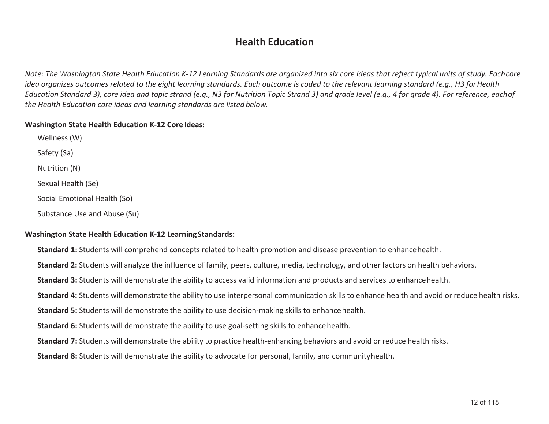#### **Health Education**

*Note: The Washington State Health Education K-12 Learning Standards are organized into six core ideas that reflect typical units of study. Eachcore idea organizes outcomes related to the eight learning standards. Each outcome is coded to the relevant learning standard (e.g., H3 for Health Education Standard 3), core idea and topic strand (e.g., N3 for Nutrition Topic Strand 3) and grade level (e.g., 4 for grade 4). For reference, eachof the Health Education core ideas and learning standards are listed below.* 

#### **Washington State Health Education K-12 Core Ideas:**

Wellness (W) Safety (Sa) Nutrition (N) Sexual Health (Se) Social Emotional Health (So) Substance Use and Abuse (Su)

#### **Washington State Health Education K-12 Learning Standards:**

- **Standard 1:** Students will comprehend concepts related to health promotion and disease prevention to enhancehealth.
- **Standard 2:** Students will analyze the influence of family, peers, culture, media, technology, and other factors on health behaviors.
- **Standard 3:** Students will demonstrate the ability to access valid information and products and services to enhancehealth.
- **Standard 4:** Students will demonstrate the ability to use interpersonal communication skills to enhance health and avoid or reduce health risks.
- **Standard 5:** Students will demonstrate the ability to use decision-making skills to enhancehealth.
- **Standard 6:** Students will demonstrate the ability to use goal-setting skills to enhancehealth.
- **Standard 7:** Students will demonstrate the ability to practice health-enhancing behaviors and avoid or reduce health risks.
- **Standard 8:** Students will demonstrate the ability to advocate for personal, family, and communityhealth.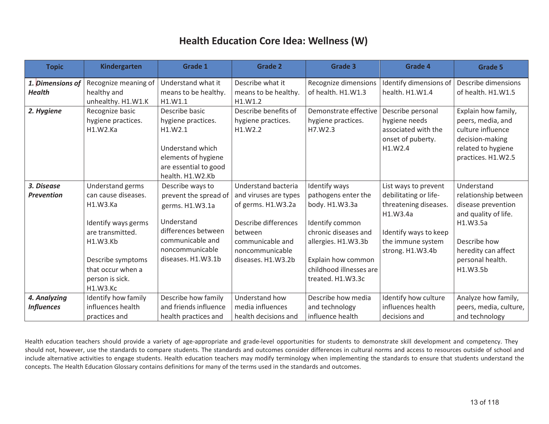| <b>Topic</b>      | <b>Kindergarten</b>  | Grade 1               | <b>Grade 2</b>        | <b>Grade 3</b>          | Grade 4                | <b>Grade 5</b>         |
|-------------------|----------------------|-----------------------|-----------------------|-------------------------|------------------------|------------------------|
| 1. Dimensions of  | Recognize meaning of | Understand what it    | Describe what it      | Recognize dimensions    | Identify dimensions of | Describe dimensions    |
| <b>Health</b>     | healthy and          | means to be healthy.  | means to be healthy.  | of health. H1.W1.3      | health. H1.W1.4        | of health. H1.W1.5     |
|                   | unhealthy. H1.W1.K   | H1.W1.1               | H1.W1.2               |                         |                        |                        |
| 2. Hygiene        | Recognize basic      | Describe basic        | Describe benefits of  | Demonstrate effective   | Describe personal      | Explain how family,    |
|                   | hygiene practices.   | hygiene practices.    | hygiene practices.    | hygiene practices.      | hygiene needs          | peers, media, and      |
|                   | H1.W2.Ka             | H1.W2.1               | H1.W2.2               | H7.W2.3                 | associated with the    | culture influence      |
|                   |                      |                       |                       |                         | onset of puberty.      | decision-making        |
|                   |                      | Understand which      |                       |                         | H1.W2.4                | related to hygiene     |
|                   |                      | elements of hygiene   |                       |                         |                        | practices. H1.W2.5     |
|                   |                      | are essential to good |                       |                         |                        |                        |
|                   |                      | health. H1.W2.Kb      |                       |                         |                        |                        |
| 3. Disease        | Understand germs     | Describe ways to      | Understand bacteria   | Identify ways           | List ways to prevent   | Understand             |
| <b>Prevention</b> | can cause diseases.  | prevent the spread of | and viruses are types | pathogens enter the     | debilitating or life-  | relationship between   |
|                   | H1.W3.Ka             | germs. H1.W3.1a       | of germs. H1.W3.2a    | body. H1.W3.3a          | threatening diseases.  | disease prevention     |
|                   |                      |                       |                       |                         | H1.W3.4a               | and quality of life.   |
|                   | Identify ways germs  | Understand            | Describe differences  | Identify common         |                        | H1.W3.5a               |
|                   | are transmitted.     | differences between   | between               | chronic diseases and    | Identify ways to keep  |                        |
|                   | H1.W3.Kb             | communicable and      | communicable and      | allergies. H1.W3.3b     | the immune system      | Describe how           |
|                   |                      | noncommunicable       | noncommunicable       |                         | strong. H1.W3.4b       | heredity can affect    |
|                   | Describe symptoms    | diseases. H1.W3.1b    | diseases. H1.W3.2b    | Explain how common      |                        | personal health.       |
|                   | that occur when a    |                       |                       | childhood illnesses are |                        | H1.W3.5b               |
|                   | person is sick.      |                       |                       | treated. H1.W3.3c       |                        |                        |
|                   | H1.W3.Kc             |                       |                       |                         |                        |                        |
| 4. Analyzing      | Identify how family  | Describe how family   | Understand how        | Describe how media      | Identify how culture   | Analyze how family,    |
| <b>Influences</b> | influences health    | and friends influence | media influences      | and technology          | influences health      | peers, media, culture, |
|                   | practices and        | health practices and  | health decisions and  | influence health        | decisions and          | and technology         |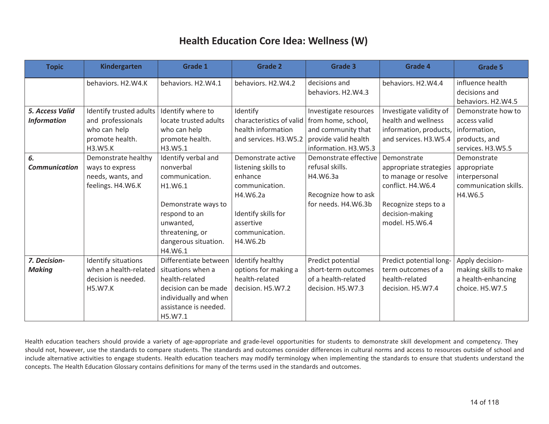| <b>Topic</b>           | <b>Kindergarten</b>     | <b>Grade 1</b>        | <b>Grade 2</b>                                | <b>Grade 3</b>        | Grade 4                 | <b>Grade 5</b>        |
|------------------------|-------------------------|-----------------------|-----------------------------------------------|-----------------------|-------------------------|-----------------------|
|                        | behaviors. H2.W4.K      | behaviors. H2.W4.1    | behaviors. H2.W4.2                            | decisions and         | behaviors. H2.W4.4      | influence health      |
|                        |                         |                       |                                               | behaviors. H2.W4.3    |                         | decisions and         |
|                        |                         |                       |                                               |                       |                         | behaviors. H2.W4.5    |
| <b>5. Access Valid</b> | Identify trusted adults | Identify where to     | Identify                                      | Investigate resources | Investigate validity of | Demonstrate how to    |
| <b>Information</b>     | and professionals       | locate trusted adults | characteristics of valid   from home, school, |                       | health and wellness     | access valid          |
|                        | who can help            | who can help          | health information                            | and community that    | information, products,  | information,          |
|                        | promote health.         | promote health.       | and services. H3.W5.2                         | provide valid health  | and services. H3.W5.4   | products, and         |
|                        | H3.W5.K                 | H3.W5.1               |                                               | information. H3.W5.3  |                         | services. H3.W5.5     |
| 6.                     | Demonstrate healthy     | Identify verbal and   | Demonstrate active                            | Demonstrate effective | Demonstrate             | Demonstrate           |
| <b>Communication</b>   | ways to express         | nonverbal             | listening skills to                           | refusal skills.       | appropriate strategies  | appropriate           |
|                        | needs, wants, and       | communication.        | enhance                                       | H4.W6.3a              | to manage or resolve    | interpersonal         |
|                        | feelings. H4.W6.K       | H1.W6.1               | communication.                                |                       | conflict. H4.W6.4       | communication skills. |
|                        |                         |                       | H4.W6.2a                                      | Recognize how to ask  |                         | H4.W6.5               |
|                        |                         | Demonstrate ways to   |                                               | for needs. H4.W6.3b   | Recognize steps to a    |                       |
|                        |                         | respond to an         | Identify skills for                           |                       | decision-making         |                       |
|                        |                         | unwanted,             | assertive                                     |                       | model. H5.W6.4          |                       |
|                        |                         | threatening, or       | communication.                                |                       |                         |                       |
|                        |                         | dangerous situation.  | H4.W6.2b                                      |                       |                         |                       |
|                        |                         | H4.W6.1               |                                               |                       |                         |                       |
| 7. Decision-           | Identify situations     | Differentiate between | Identify healthy                              | Predict potential     | Predict potential long- | Apply decision-       |
| <b>Making</b>          | when a health-related   | situations when a     | options for making a                          | short-term outcomes   | term outcomes of a      | making skills to make |
|                        | decision is needed.     | health-related        | health-related                                | of a health-related   | health-related          | a health-enhancing    |
|                        | <b>H5.W7.K</b>          | decision can be made  | decision. H5.W7.2                             | decision. H5.W7.3     | decision. H5.W7.4       | choice. H5.W7.5       |
|                        |                         | individually and when |                                               |                       |                         |                       |
|                        |                         | assistance is needed. |                                               |                       |                         |                       |
|                        |                         | H5.W7.1               |                                               |                       |                         |                       |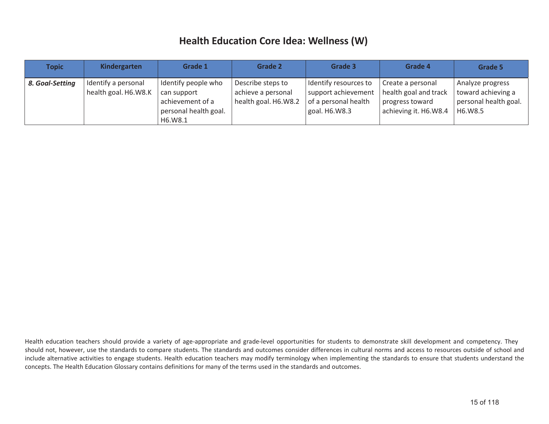| <b>Topic</b>    | Kindergarten                                | Grade 1                                                                                    | Grade 2                                                         | Grade 3                                                                                 | Grade 4                                                                                | Grade 5                                                                    |
|-----------------|---------------------------------------------|--------------------------------------------------------------------------------------------|-----------------------------------------------------------------|-----------------------------------------------------------------------------------------|----------------------------------------------------------------------------------------|----------------------------------------------------------------------------|
| 8. Goal-Setting | Identify a personal<br>health goal. H6.W8.K | Identify people who<br>can support<br>achievement of a<br>personal health goal.<br>H6.W8.1 | Describe steps to<br>achieve a personal<br>health goal. H6.W8.2 | I Identify resources to<br>support achievement<br>of a personal health<br>goal. H6.W8.3 | Create a personal<br>health goal and track<br>progress toward<br>achieving it. H6.W8.4 | Analyze progress<br>toward achieving a<br>personal health goal.<br>H6.W8.5 |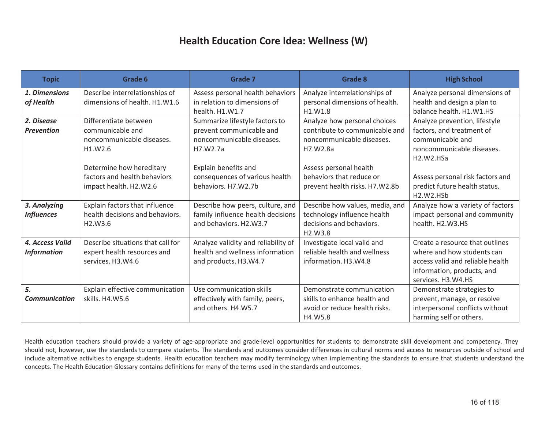| <b>Topic</b>         | Grade 6                           | <b>Grade 7</b>                      | <b>Grade 8</b>                   | <b>High School</b>                              |
|----------------------|-----------------------------------|-------------------------------------|----------------------------------|-------------------------------------------------|
| 1. Dimensions        | Describe interrelationships of    | Assess personal health behaviors    | Analyze interrelationships of    | Analyze personal dimensions of                  |
| of Health            | dimensions of health. H1.W1.6     | in relation to dimensions of        | personal dimensions of health.   | health and design a plan to                     |
|                      |                                   | health. H1.W1.7                     | H1.W1.8                          | balance health. H1.W1.HS                        |
| 2. Disease           | Differentiate between             | Summarize lifestyle factors to      | Analyze how personal choices     | Analyze prevention, lifestyle                   |
| <b>Prevention</b>    | communicable and                  | prevent communicable and            | contribute to communicable and   | factors, and treatment of                       |
|                      | noncommunicable diseases.         | noncommunicable diseases.           | noncommunicable diseases.        | communicable and                                |
|                      | H1.W2.6                           | H7.W2.7a                            | H7.W2.8a                         | noncommunicable diseases.                       |
|                      |                                   |                                     |                                  | H <sub>2</sub> .W <sub>2</sub> .H <sub>Sa</sub> |
|                      | Determine how hereditary          | Explain benefits and                | Assess personal health           |                                                 |
|                      | factors and health behaviors      | consequences of various health      | behaviors that reduce or         | Assess personal risk factors and                |
|                      | impact health. H2.W2.6            | behaviors. H7.W2.7b                 | prevent health risks. H7.W2.8b   | predict future health status.                   |
|                      |                                   |                                     |                                  | H <sub>2</sub> .W <sub>2</sub> .H <sub>Sb</sub> |
| 3. Analyzing         | Explain factors that influence    | Describe how peers, culture, and    | Describe how values, media, and  | Analyze how a variety of factors                |
| <b>Influences</b>    | health decisions and behaviors.   | family influence health decisions   | technology influence health      | impact personal and community                   |
|                      | H2.W3.6                           | and behaviors. H2.W3.7              | decisions and behaviors.         | health. H2.W3.HS                                |
|                      |                                   |                                     | H <sub>2</sub> .W <sub>3.8</sub> |                                                 |
| 4. Access Valid      | Describe situations that call for | Analyze validity and reliability of | Investigate local valid and      | Create a resource that outlines                 |
| <b>Information</b>   | expert health resources and       | health and wellness information     | reliable health and wellness     | where and how students can                      |
|                      | services. H3.W4.6                 | and products. H3.W4.7               | information. H3.W4.8             | access valid and reliable health                |
|                      |                                   |                                     |                                  | information, products, and                      |
|                      |                                   |                                     |                                  | services. H3.W4.HS                              |
| 5.                   | Explain effective communication   | Use communication skills            | Demonstrate communication        | Demonstrate strategies to                       |
| <b>Communication</b> | skills. H4.W5.6                   | effectively with family, peers,     | skills to enhance health and     | prevent, manage, or resolve                     |
|                      |                                   | and others. H4.W5.7                 | avoid or reduce health risks.    | interpersonal conflicts without                 |
|                      |                                   |                                     | H4.W5.8                          | harming self or others.                         |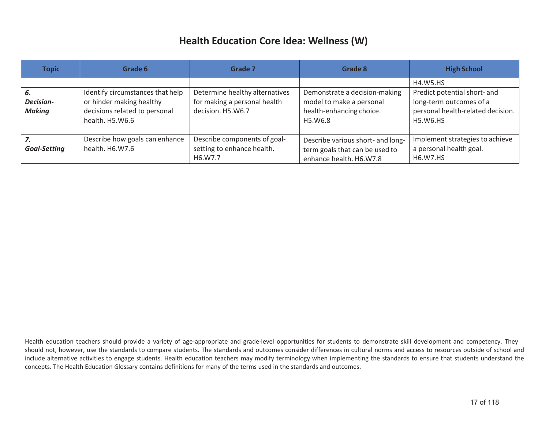| <b>Topic</b>                            | Grade 6                                                                                                          | Grade 7                                                                             | Grade 8                                                                                          | <b>High School</b>                                                                                                                 |
|-----------------------------------------|------------------------------------------------------------------------------------------------------------------|-------------------------------------------------------------------------------------|--------------------------------------------------------------------------------------------------|------------------------------------------------------------------------------------------------------------------------------------|
| 6.<br><b>Decision-</b><br><b>Making</b> | Identify circumstances that help<br>or hinder making healthy<br>decisions related to personal<br>health. H5.W6.6 | Determine healthy alternatives<br>for making a personal health<br>decision. H5.W6.7 | Demonstrate a decision-making<br>model to make a personal<br>health-enhancing choice.<br>H5.W6.8 | <b>H4.W5.HS</b><br>Predict potential short- and<br>long-term outcomes of a<br>personal health-related decision.<br><b>H5.W6.HS</b> |
| 7.<br><b>Goal-Setting</b>               | Describe how goals can enhance<br>health. H6.W7.6                                                                | Describe components of goal-<br>setting to enhance health.<br>H6.W7.7               | Describe various short- and long-<br>term goals that can be used to<br>enhance health. H6.W7.8   | Implement strategies to achieve<br>a personal health goal.<br><b>H6.W7.HS</b>                                                      |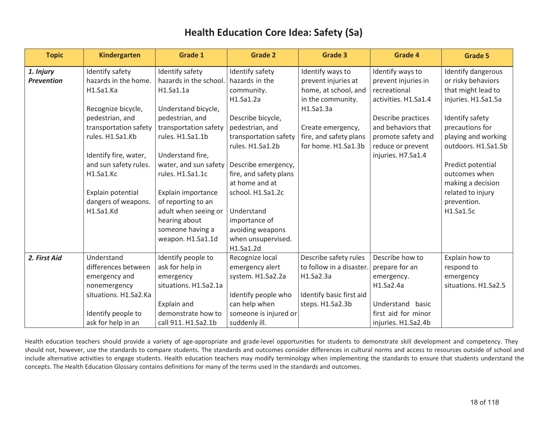| <b>Topic</b>      | <b>Kindergarten</b>   | <b>Grade 1</b>         | <b>Grade 2</b>         | <b>Grade 3</b>           | <b>Grade 4</b>       | <b>Grade 5</b>       |
|-------------------|-----------------------|------------------------|------------------------|--------------------------|----------------------|----------------------|
| 1. Injury         | Identify safety       | Identify safety        | Identify safety        | Identify ways to         | Identify ways to     | Identify dangerous   |
| <b>Prevention</b> | hazards in the home.  | hazards in the school. | hazards in the         | prevent injuries at      | prevent injuries in  | or risky behaviors   |
|                   | H1.Sa1.Ka             | H1.Sa1.1a              | community.             | home, at school, and     | recreational         | that might lead to   |
|                   |                       |                        | H1.Sa1.2a              | in the community.        | activities. H1.Sa1.4 | injuries. H1.Sa1.5a  |
|                   | Recognize bicycle,    | Understand bicycle,    |                        | H1.Sa1.3a                |                      |                      |
|                   | pedestrian, and       | pedestrian, and        | Describe bicycle,      |                          | Describe practices   | Identify safety      |
|                   | transportation safety | transportation safety  | pedestrian, and        | Create emergency,        | and behaviors that   | precautions for      |
|                   | rules. H1.Sa1.Kb      | rules. H1.Sa1.1b       | transportation safety  | fire, and safety plans   | promote safety and   | playing and working  |
|                   |                       |                        | rules. H1.Sa1.2b       | for home. H1.Sa1.3b      | reduce or prevent    | outdoors. H1.Sa1.5b  |
|                   | Identify fire, water, | Understand fire,       |                        |                          | injuries. H7.Sa1.4   |                      |
|                   | and sun safety rules. | water, and sun safety  | Describe emergency,    |                          |                      | Predict potential    |
|                   | H1.Sa1.Kc             | rules. H1.Sa1.1c       | fire, and safety plans |                          |                      | outcomes when        |
|                   |                       |                        | at home and at         |                          |                      | making a decision    |
|                   | Explain potential     | Explain importance     | school. H1.Sa1.2c      |                          |                      | related to injury    |
|                   | dangers of weapons.   | of reporting to an     |                        |                          |                      | prevention.          |
|                   | H1.Sa1.Kd             | adult when seeing or   | Understand             |                          |                      | H1.Sa1.5c            |
|                   |                       | hearing about          | importance of          |                          |                      |                      |
|                   |                       | someone having a       | avoiding weapons       |                          |                      |                      |
|                   |                       | weapon. H1.Sa1.1d      | when unsupervised.     |                          |                      |                      |
|                   |                       |                        | H1.Sa1.2d              |                          |                      |                      |
| 2. First Aid      | Understand            | Identify people to     | Recognize local        | Describe safety rules    | Describe how to      | Explain how to       |
|                   | differences between   | ask for help in        | emergency alert        | to follow in a disaster. | prepare for an       | respond to           |
|                   | emergency and         | emergency              | system. H1.Sa2.2a      | H1.Sa2.3a                | emergency.           | emergency            |
|                   | nonemergency          | situations. H1.Sa2.1a  |                        |                          | H1.Sa2.4a            | situations. H1.Sa2.5 |
|                   | situations. H1.Sa2.Ka |                        | Identify people who    | Identify basic first aid |                      |                      |
|                   |                       | Explain and            | can help when          | steps. H1.Sa2.3b         | Understand<br>basic  |                      |
|                   | Identify people to    | demonstrate how to     | someone is injured or  |                          | first aid for minor  |                      |
|                   | ask for help in an    | call 911. H1.Sa2.1b    | suddenly ill.          |                          | injuries. H1.Sa2.4b  |                      |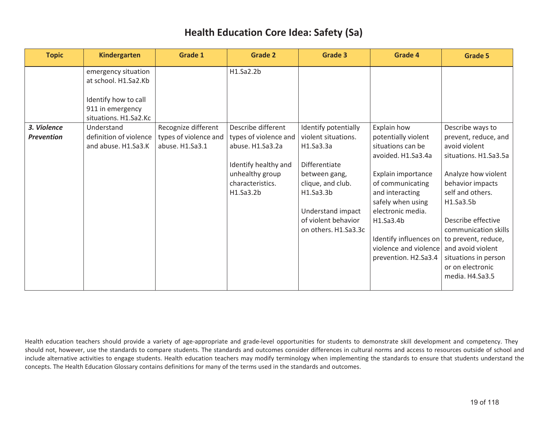| <b>Topic</b>      | <b>Kindergarten</b>    | <b>Grade 1</b>        | <b>Grade 2</b>        | Grade 3              | <b>Grade 4</b>         | <b>Grade 5</b>        |
|-------------------|------------------------|-----------------------|-----------------------|----------------------|------------------------|-----------------------|
|                   | emergency situation    |                       | H1.Sa2.2b             |                      |                        |                       |
|                   | at school. H1.Sa2.Kb   |                       |                       |                      |                        |                       |
|                   | Identify how to call   |                       |                       |                      |                        |                       |
|                   | 911 in emergency       |                       |                       |                      |                        |                       |
|                   | situations. H1.Sa2.Kc  |                       |                       |                      |                        |                       |
| 3. Violence       | Understand             | Recognize different   | Describe different    | Identify potentially | Explain how            | Describe ways to      |
| <b>Prevention</b> | definition of violence | types of violence and | types of violence and | violent situations.  | potentially violent    | prevent, reduce, and  |
|                   | and abuse. H1.Sa3.K    | abuse. H1.Sa3.1       | abuse. H1.Sa3.2a      | H1.Sa3.3a            | situations can be      | avoid violent         |
|                   |                        |                       |                       |                      | avoided. H1.Sa3.4a     | situations. H1.Sa3.5a |
|                   |                        |                       | Identify healthy and  | Differentiate        |                        |                       |
|                   |                        |                       | unhealthy group       | between gang,        | Explain importance     | Analyze how violent   |
|                   |                        |                       | characteristics.      | clique, and club.    | of communicating       | behavior impacts      |
|                   |                        |                       | H1.Sa3.2b             | H1.Sa3.3b            | and interacting        | self and others.      |
|                   |                        |                       |                       |                      | safely when using      | H1.Sa3.5b             |
|                   |                        |                       |                       | Understand impact    | electronic media.      |                       |
|                   |                        |                       |                       | of violent behavior  | H1.Sa3.4b              | Describe effective    |
|                   |                        |                       |                       | on others. H1.Sa3.3c |                        | communication skills  |
|                   |                        |                       |                       |                      | Identify influences on | to prevent, reduce,   |
|                   |                        |                       |                       |                      | violence and violence  | and avoid violent     |
|                   |                        |                       |                       |                      | prevention. H2.Sa3.4   | situations in person  |
|                   |                        |                       |                       |                      |                        | or on electronic      |
|                   |                        |                       |                       |                      |                        | media. H4.Sa3.5       |
|                   |                        |                       |                       |                      |                        |                       |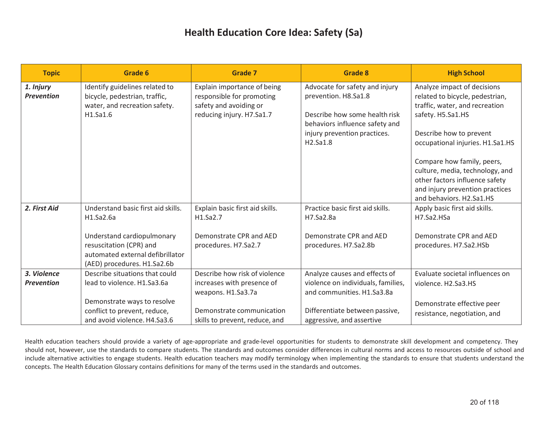| <b>Topic</b>                     | Grade 6                                                                                                                  | <b>Grade 7</b>                                                                                                  | <b>Grade 8</b>                                                                                                                                                        | <b>High School</b>                                                                                                                                                                   |
|----------------------------------|--------------------------------------------------------------------------------------------------------------------------|-----------------------------------------------------------------------------------------------------------------|-----------------------------------------------------------------------------------------------------------------------------------------------------------------------|--------------------------------------------------------------------------------------------------------------------------------------------------------------------------------------|
| 1. Injury<br><b>Prevention</b>   | Identify guidelines related to<br>bicycle, pedestrian, traffic,<br>water, and recreation safety.<br>H1.Sa1.6             | Explain importance of being<br>responsible for promoting<br>safety and avoiding or<br>reducing injury. H7.Sa1.7 | Advocate for safety and injury<br>prevention. H8.Sa1.8<br>Describe how some health risk<br>behaviors influence safety and<br>injury prevention practices.<br>H2.Sa1.8 | Analyze impact of decisions<br>related to bicycle, pedestrian,<br>traffic, water, and recreation<br>safety. H5.Sa1.HS<br>Describe how to prevent<br>occupational injuries. H1.Sa1.HS |
|                                  |                                                                                                                          |                                                                                                                 |                                                                                                                                                                       | Compare how family, peers,<br>culture, media, technology, and<br>other factors influence safety<br>and injury prevention practices<br>and behaviors. H2.Sa1.HS                       |
| 2. First Aid                     | Understand basic first aid skills.<br>H1.Sa2.6a                                                                          | Explain basic first aid skills.<br>H1.Sa2.7                                                                     | Practice basic first aid skills.<br>H7.Sa2.8a                                                                                                                         | Apply basic first aid skills.<br>H7.Sa2.HSa                                                                                                                                          |
|                                  | Understand cardiopulmonary<br>resuscitation (CPR) and<br>automated external defibrillator<br>(AED) procedures. H1.Sa2.6b | Demonstrate CPR and AED<br>procedures. H7.Sa2.7                                                                 | Demonstrate CPR and AED<br>procedures. H7.Sa2.8b                                                                                                                      | Demonstrate CPR and AED<br>procedures. H7.Sa2.HSb                                                                                                                                    |
| 3. Violence<br><b>Prevention</b> | Describe situations that could<br>lead to violence. H1.Sa3.6a                                                            | Describe how risk of violence<br>increases with presence of<br>weapons. H1.Sa3.7a                               | Analyze causes and effects of<br>violence on individuals, families,<br>and communities. H1.Sa3.8a                                                                     | Evaluate societal influences on<br>violence. H <sub>2</sub> .Sa <sub>3</sub> .H <sub>S</sub>                                                                                         |
|                                  | Demonstrate ways to resolve<br>conflict to prevent, reduce,<br>and avoid violence. H4.Sa3.6                              | Demonstrate communication<br>skills to prevent, reduce, and                                                     | Differentiate between passive,<br>aggressive, and assertive                                                                                                           | Demonstrate effective peer<br>resistance, negotiation, and                                                                                                                           |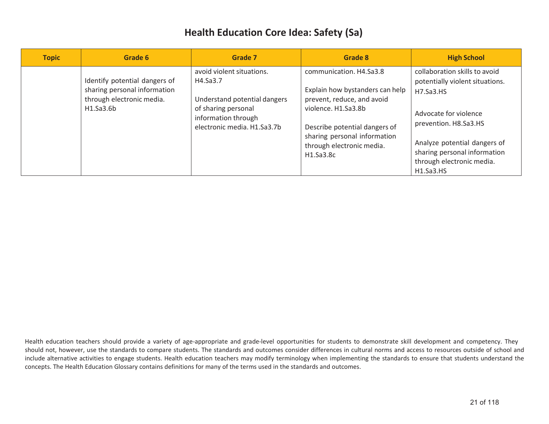| <b>Topic</b> | Grade 6                                                                                                 | Grade 7                                                                                                                                            | Grade 8                                                                                                                                                                                                                    | <b>High School</b>                                                                                                                                                                                                                        |
|--------------|---------------------------------------------------------------------------------------------------------|----------------------------------------------------------------------------------------------------------------------------------------------------|----------------------------------------------------------------------------------------------------------------------------------------------------------------------------------------------------------------------------|-------------------------------------------------------------------------------------------------------------------------------------------------------------------------------------------------------------------------------------------|
|              | Identify potential dangers of<br>sharing personal information<br>through electronic media.<br>H1.Sa3.6b | avoid violent situations.<br>H4.Sa3.7<br>Understand potential dangers<br>of sharing personal<br>information through<br>electronic media. H1.Sa3.7b | communication. H4.Sa3.8<br>Explain how bystanders can help<br>prevent, reduce, and avoid<br>violence. H1.Sa3.8b<br>Describe potential dangers of<br>sharing personal information<br>through electronic media.<br>H1.Sa3.Sc | collaboration skills to avoid<br>potentially violent situations.<br>H7.Sa3.HS<br>Advocate for violence<br>prevention. H8.Sa3.HS<br>Analyze potential dangers of<br>sharing personal information<br>through electronic media.<br>H1.Sa3.HS |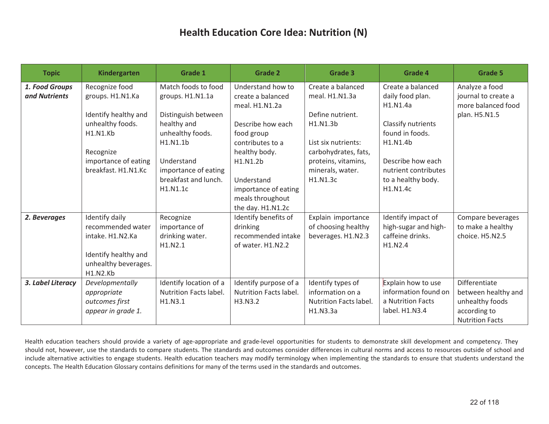| <b>Topic</b>      | <b>Kindergarten</b>  | <b>Grade 1</b>                               | <b>Grade 2</b>                           | Grade 3                      | <b>Grade 4</b>                                          | <b>Grade 5</b>         |
|-------------------|----------------------|----------------------------------------------|------------------------------------------|------------------------------|---------------------------------------------------------|------------------------|
| 1. Food Groups    | Recognize food       | Match foods to food                          | Understand how to                        | Create a balanced            | Create a balanced                                       | Analyze a food         |
| and Nutrients     | groups. H1.N1.Ka     | groups. H1.N1.1a                             | create a balanced                        | meal. H1.N1.3a               | daily food plan.                                        | journal to create a    |
|                   |                      |                                              | meal. H1.N1.2a                           |                              | H <sub>1</sub> .N <sub>1.4a</sub>                       | more balanced food     |
|                   | Identify healthy and | Distinguish between                          |                                          | Define nutrient.             |                                                         | plan. H5.N1.5          |
|                   | unhealthy foods.     | healthy and                                  | Describe how each                        | H1.N1.3b                     | Classify nutrients                                      |                        |
|                   | <b>H1.N1.Kb</b>      | unhealthy foods.                             | food group                               |                              | found in foods.                                         |                        |
|                   |                      | H1.N1.1b                                     | contributes to a                         | List six nutrients:          | H1.N1.4b                                                |                        |
|                   | Recognize            |                                              | healthy body.                            | carbohydrates, fats,         |                                                         |                        |
|                   | importance of eating | Understand                                   | H1.N1.2b                                 | proteins, vitamins,          | Describe how each                                       |                        |
|                   | breakfast. H1.N1.Kc  | importance of eating<br>breakfast and lunch. |                                          | minerals, water.<br>H1.N1.3c | nutrient contributes                                    |                        |
|                   |                      | H1.N1.1c                                     | Understand                               |                              | to a healthy body.<br>H <sub>1</sub> .N <sub>1.4c</sub> |                        |
|                   |                      |                                              | importance of eating<br>meals throughout |                              |                                                         |                        |
|                   |                      |                                              | the day. H1.N1.2c                        |                              |                                                         |                        |
| 2. Beverages      | Identify daily       | Recognize                                    | Identify benefits of                     | Explain importance           | Identify impact of                                      | Compare beverages      |
|                   | recommended water    | importance of                                | drinking                                 | of choosing healthy          | high-sugar and high-                                    | to make a healthy      |
|                   | intake. H1.N2.Ka     | drinking water.                              | recommended intake                       | beverages. H1.N2.3           | caffeine drinks.                                        | choice. H5.N2.5        |
|                   |                      | H1.N2.1                                      | of water. H1.N2.2                        |                              | H1.N2.4                                                 |                        |
|                   | Identify healthy and |                                              |                                          |                              |                                                         |                        |
|                   | unhealthy beverages. |                                              |                                          |                              |                                                         |                        |
|                   | <b>H1.N2.Kb</b>      |                                              |                                          |                              |                                                         |                        |
| 3. Label Literacy | Developmentally      | Identify location of a                       | Identify purpose of a                    | Identify types of            | Explain how to use                                      | <b>Differentiate</b>   |
|                   | appropriate          | Nutrition Facts label.                       | <b>Nutrition Facts label.</b>            | information on a             | information found on                                    | between healthy and    |
|                   | outcomes first       | H1.N3.1                                      | H3.N3.2                                  | Nutrition Facts label.       | a Nutrition Facts                                       | unhealthy foods        |
|                   | appear in grade 1.   |                                              |                                          | H1.N3.3a                     | label. H1.N3.4                                          | according to           |
|                   |                      |                                              |                                          |                              |                                                         | <b>Nutrition Facts</b> |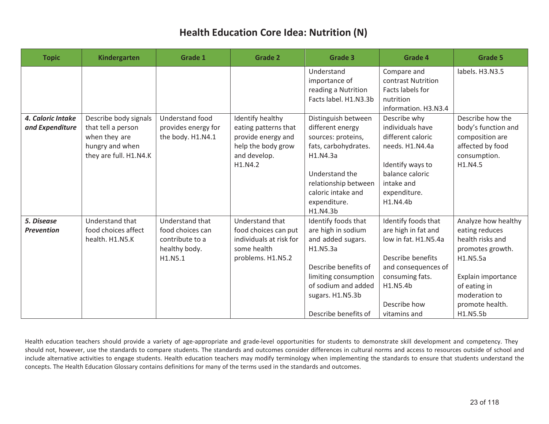| <b>Topic</b>                         | Kindergarten                                                                                              | Grade 1                                                                            | <b>Grade 2</b>                                                                                                  | Grade 3                                                                                                                                                                                       | <b>Grade 4</b>                                                                                                                                                                | <b>Grade 5</b>                                                                                                                                                                  |
|--------------------------------------|-----------------------------------------------------------------------------------------------------------|------------------------------------------------------------------------------------|-----------------------------------------------------------------------------------------------------------------|-----------------------------------------------------------------------------------------------------------------------------------------------------------------------------------------------|-------------------------------------------------------------------------------------------------------------------------------------------------------------------------------|---------------------------------------------------------------------------------------------------------------------------------------------------------------------------------|
|                                      |                                                                                                           |                                                                                    |                                                                                                                 | Understand<br>importance of<br>reading a Nutrition<br>Facts label. H1.N3.3b                                                                                                                   | Compare and<br>contrast Nutrition<br>Facts labels for<br>nutrition<br>information. H3.N3.4                                                                                    | labels. H3.N3.5                                                                                                                                                                 |
| 4. Caloric Intake<br>and Expenditure | Describe body signals<br>that tell a person<br>when they are<br>hungry and when<br>they are full. H1.N4.K | <b>Understand food</b><br>provides energy for<br>the body. H1.N4.1                 | Identify healthy<br>eating patterns that<br>provide energy and<br>help the body grow<br>and develop.<br>H1.N4.2 | Distinguish between<br>different energy<br>sources: proteins,<br>fats, carbohydrates.<br>H1.N4.3a<br>Understand the<br>relationship between<br>caloric intake and<br>expenditure.<br>H1.N4.3b | Describe why<br>individuals have<br>different caloric<br>needs. H1.N4.4a<br>Identify ways to<br>balance caloric<br>intake and<br>expenditure.<br>H1.N4.4b                     | Describe how the<br>body's function and<br>composition are<br>affected by food<br>consumption.<br>H1.N4.5                                                                       |
| 5. Disease<br><b>Prevention</b>      | Understand that<br>food choices affect<br>health. H1.N5.K                                                 | Understand that<br>food choices can<br>contribute to a<br>healthy body.<br>H1.N5.1 | Understand that<br>food choices can put<br>individuals at risk for<br>some health<br>problems. H1.N5.2          | Identify foods that<br>are high in sodium<br>and added sugars.<br>H1.N5.3a<br>Describe benefits of<br>limiting consumption<br>of sodium and added<br>sugars. H1.N5.3b<br>Describe benefits of | Identify foods that<br>are high in fat and<br>low in fat. H1.N5.4a<br>Describe benefits<br>and consequences of<br>consuming fats.<br>H1.N5.4b<br>Describe how<br>vitamins and | Analyze how healthy<br>eating reduces<br>health risks and<br>promotes growth.<br>H1.N5.5a<br>Explain importance<br>of eating in<br>moderation to<br>promote health.<br>H1.N5.5b |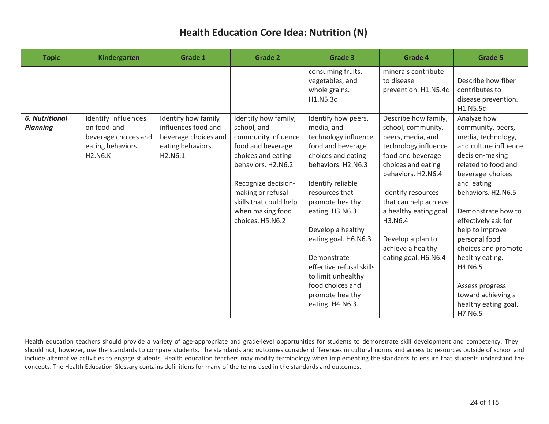| <b>Topic</b>                             | Kindergarten                                                                                      | Grade 1                                                                                            | <b>Grade 2</b>                                                                                                                                                                                                                            | Grade 3                                                                                                                                                                                                                                                                                                                                                                         | <b>Grade 4</b>                                                                                                                                                                                                                                                                                                 | <b>Grade 5</b>                                                                                                                                                                                                                                                                                                                                                                                      |
|------------------------------------------|---------------------------------------------------------------------------------------------------|----------------------------------------------------------------------------------------------------|-------------------------------------------------------------------------------------------------------------------------------------------------------------------------------------------------------------------------------------------|---------------------------------------------------------------------------------------------------------------------------------------------------------------------------------------------------------------------------------------------------------------------------------------------------------------------------------------------------------------------------------|----------------------------------------------------------------------------------------------------------------------------------------------------------------------------------------------------------------------------------------------------------------------------------------------------------------|-----------------------------------------------------------------------------------------------------------------------------------------------------------------------------------------------------------------------------------------------------------------------------------------------------------------------------------------------------------------------------------------------------|
|                                          |                                                                                                   |                                                                                                    |                                                                                                                                                                                                                                           | consuming fruits,<br>vegetables, and<br>whole grains.<br>H1.N5.3c                                                                                                                                                                                                                                                                                                               | minerals contribute<br>to disease<br>prevention. H1.N5.4c                                                                                                                                                                                                                                                      | Describe how fiber<br>contributes to<br>disease prevention.<br>H1.N5.5c                                                                                                                                                                                                                                                                                                                             |
| <b>6. Nutritional</b><br><b>Planning</b> | Identify influences<br>on food and<br>beverage choices and<br>eating behaviors.<br><b>H2.N6.K</b> | Identify how family<br>influences food and<br>beverage choices and<br>eating behaviors.<br>H2.N6.1 | Identify how family,<br>school, and<br>community influence<br>food and beverage<br>choices and eating<br>behaviors. H2.N6.2<br>Recognize decision-<br>making or refusal<br>skills that could help<br>when making food<br>choices. H5.N6.2 | Identify how peers,<br>media, and<br>technology influence<br>food and beverage<br>choices and eating<br>behaviors. H2.N6.3<br>Identify reliable<br>resources that<br>promote healthy<br>eating. H3.N6.3<br>Develop a healthy<br>eating goal. H6.N6.3<br>Demonstrate<br>effective refusal skills<br>to limit unhealthy<br>food choices and<br>promote healthy<br>eating. H4.N6.3 | Describe how family,<br>school, community,<br>peers, media, and<br>technology influence<br>food and beverage<br>choices and eating<br>behaviors. H2.N6.4<br>Identify resources<br>that can help achieve<br>a healthy eating goal.<br>H3.N6.4<br>Develop a plan to<br>achieve a healthy<br>eating goal. H6.N6.4 | Analyze how<br>community, peers,<br>media, technology,<br>and culture influence<br>decision-making<br>related to food and<br>beverage choices<br>and eating<br>behaviors. H2.N6.5<br>Demonstrate how to<br>effectively ask for<br>help to improve<br>personal food<br>choices and promote<br>healthy eating.<br>H4.N6.5<br>Assess progress<br>toward achieving a<br>healthy eating goal.<br>H7.N6.5 |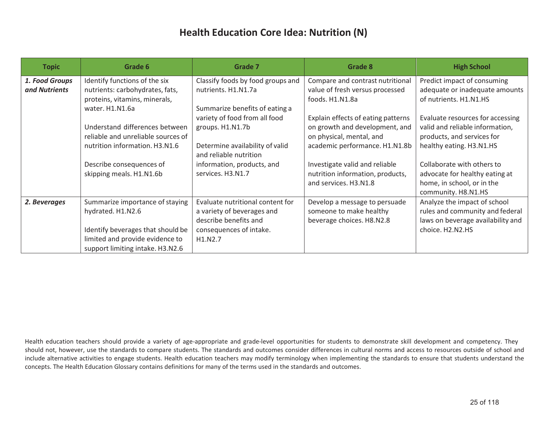| <b>Topic</b>                    | Grade 6                                                                                                                                                          | Grade 7                                                                                                                       | Grade 8                                                                                                                            | <b>High School</b>                                                                                                            |
|---------------------------------|------------------------------------------------------------------------------------------------------------------------------------------------------------------|-------------------------------------------------------------------------------------------------------------------------------|------------------------------------------------------------------------------------------------------------------------------------|-------------------------------------------------------------------------------------------------------------------------------|
| 1. Food Groups<br>and Nutrients | Identify functions of the six<br>nutrients: carbohydrates, fats,<br>proteins, vitamins, minerals,<br>water. H1.N1.6a                                             | Classify foods by food groups and<br>nutrients. H1.N1.7a<br>Summarize benefits of eating a                                    | Compare and contrast nutritional<br>value of fresh versus processed<br>foods. H1.N1.8a                                             | Predict impact of consuming<br>adequate or inadequate amounts<br>of nutrients. H1.N1.HS                                       |
|                                 | Understand differences between<br>reliable and unreliable sources of<br>nutrition information. H3.N1.6                                                           | variety of food from all food<br>groups. H1.N1.7b<br>Determine availability of valid<br>and reliable nutrition                | Explain effects of eating patterns<br>on growth and development, and<br>on physical, mental, and<br>academic performance. H1.N1.8b | Evaluate resources for accessing<br>valid and reliable information,<br>products, and services for<br>healthy eating. H3.N1.HS |
|                                 | Describe consequences of<br>skipping meals. H1.N1.6b                                                                                                             | information, products, and<br>services. H3.N1.7                                                                               | Investigate valid and reliable<br>nutrition information, products,<br>and services. H3.N1.8                                        | Collaborate with others to<br>advocate for healthy eating at<br>home, in school, or in the<br>community. H8.N1.HS             |
| 2. Beverages                    | Summarize importance of staying<br>hydrated. H1.N2.6<br>Identify beverages that should be<br>limited and provide evidence to<br>support limiting intake. H3.N2.6 | Evaluate nutritional content for<br>a variety of beverages and<br>describe benefits and<br>consequences of intake.<br>H1.N2.7 | Develop a message to persuade<br>someone to make healthy<br>beverage choices. H8.N2.8                                              | Analyze the impact of school<br>rules and community and federal<br>laws on beverage availability and<br>choice. H2.N2.HS      |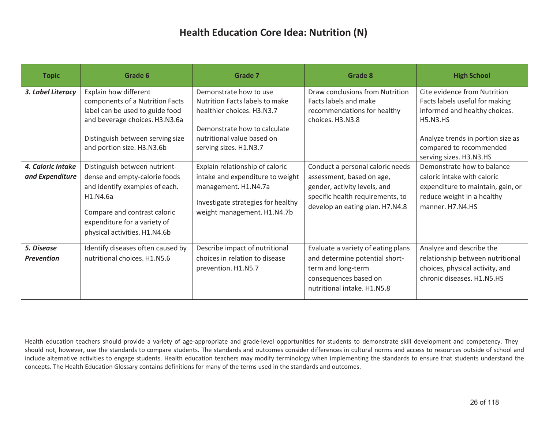| <b>Topic</b>                           | Grade 6                                                                                                                                                                                                                          | <b>Grade 7</b>                                                                                                                                                                                                    | Grade 8                                                                                                                                                | <b>High School</b>                                                                                                                                                                                                                          |
|----------------------------------------|----------------------------------------------------------------------------------------------------------------------------------------------------------------------------------------------------------------------------------|-------------------------------------------------------------------------------------------------------------------------------------------------------------------------------------------------------------------|--------------------------------------------------------------------------------------------------------------------------------------------------------|---------------------------------------------------------------------------------------------------------------------------------------------------------------------------------------------------------------------------------------------|
| 3. Label Literacy<br>4. Caloric Intake | Explain how different<br>components of a Nutrition Facts<br>label can be used to guide food<br>and beverage choices. H3.N3.6a<br>Distinguish between serving size<br>and portion size. H3.N3.6b<br>Distinguish between nutrient- | Demonstrate how to use<br>Nutrition Facts labels to make<br>healthier choices. H3.N3.7<br>Demonstrate how to calculate<br>nutritional value based on<br>serving sizes. H1.N3.7<br>Explain relationship of caloric | Draw conclusions from Nutrition<br><b>Facts labels and make</b><br>recommendations for healthy<br>choices. H3.N3.8<br>Conduct a personal caloric needs | Cite evidence from Nutrition<br>Facts labels useful for making<br>informed and healthy choices.<br><b>H5.N3.HS</b><br>Analyze trends in portion size as<br>compared to recommended<br>serving sizes. H3.N3.HS<br>Demonstrate how to balance |
| and Expenditure                        | dense and empty-calorie foods<br>and identify examples of each.<br>H <sub>1</sub> .N <sub>4</sub> .6a<br>Compare and contrast caloric<br>expenditure for a variety of<br>physical activities. H1.N4.6b                           | intake and expenditure to weight<br>management. H1.N4.7a<br>Investigate strategies for healthy<br>weight management. H1.N4.7b                                                                                     | assessment, based on age,<br>gender, activity levels, and<br>specific health requirements, to<br>develop an eating plan. H7.N4.8                       | caloric intake with caloric<br>expenditure to maintain, gain, or<br>reduce weight in a healthy<br>manner, H7.N4.HS                                                                                                                          |
| 5. Disease<br><b>Prevention</b>        | Identify diseases often caused by<br>nutritional choices. H1.N5.6                                                                                                                                                                | Describe impact of nutritional<br>choices in relation to disease<br>prevention. H1.N5.7                                                                                                                           | Evaluate a variety of eating plans<br>and determine potential short-<br>term and long-term<br>consequences based on<br>nutritional intake. H1.N5.8     | Analyze and describe the<br>relationship between nutritional<br>choices, physical activity, and<br>chronic diseases. H1.N5.HS                                                                                                               |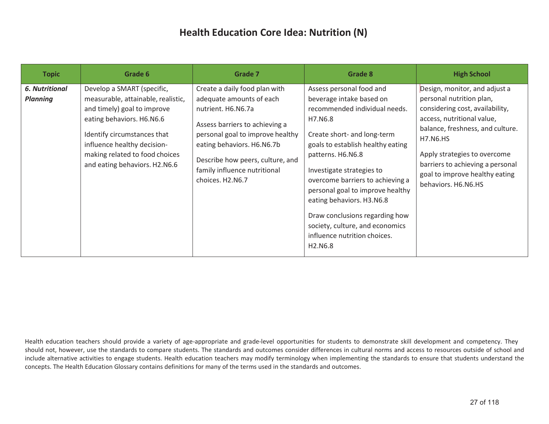| <b>Topic</b>                             | Grade 6                                                                                                                                                                                                                                                       | Grade 7                                                                                                                                                                                                                                                                     | Grade 8                                                                                                                                                                                                                                                                                                                                                                                                                                                              | <b>High School</b>                                                                                                                                                                                                                                                                                             |
|------------------------------------------|---------------------------------------------------------------------------------------------------------------------------------------------------------------------------------------------------------------------------------------------------------------|-----------------------------------------------------------------------------------------------------------------------------------------------------------------------------------------------------------------------------------------------------------------------------|----------------------------------------------------------------------------------------------------------------------------------------------------------------------------------------------------------------------------------------------------------------------------------------------------------------------------------------------------------------------------------------------------------------------------------------------------------------------|----------------------------------------------------------------------------------------------------------------------------------------------------------------------------------------------------------------------------------------------------------------------------------------------------------------|
| <b>6. Nutritional</b><br><b>Planning</b> | Develop a SMART (specific,<br>measurable, attainable, realistic,<br>and timely) goal to improve<br>eating behaviors. H6.N6.6<br>Identify circumstances that<br>influence healthy decision-<br>making related to food choices<br>and eating behaviors. H2.N6.6 | Create a daily food plan with<br>adequate amounts of each<br>nutrient. H6.N6.7a<br>Assess barriers to achieving a<br>personal goal to improve healthy<br>eating behaviors. H6.N6.7b<br>Describe how peers, culture, and<br>family influence nutritional<br>choices. H2.N6.7 | Assess personal food and<br>beverage intake based on<br>recommended individual needs.<br>H7.N6.8<br>Create short- and long-term<br>goals to establish healthy eating<br>patterns. H6.N6.8<br>Investigate strategies to<br>overcome barriers to achieving a<br>personal goal to improve healthy<br>eating behaviors. H3.N6.8<br>Draw conclusions regarding how<br>society, culture, and economics<br>influence nutrition choices.<br>H <sub>2</sub> .N <sub>6.8</sub> | Design, monitor, and adjust a<br>personal nutrition plan,<br>considering cost, availability,<br>access, nutritional value,<br>balance, freshness, and culture.<br><b>H7.N6.HS</b><br>Apply strategies to overcome<br>barriers to achieving a personal<br>goal to improve healthy eating<br>behaviors. H6.N6.HS |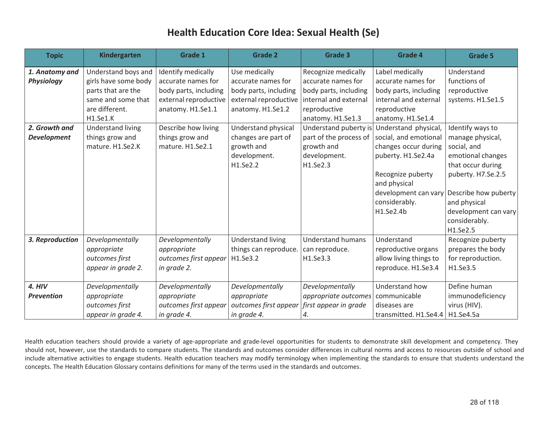| <b>Topic</b>       | Kindergarten             | <b>Grade 1</b>        | <b>Grade 2</b>           | <b>Grade 3</b>                             | <b>Grade 4</b>         | <b>Grade 5</b>                            |
|--------------------|--------------------------|-----------------------|--------------------------|--------------------------------------------|------------------------|-------------------------------------------|
| 1. Anatomy and     | Understand boys and      | Identify medically    | Use medically            | Recognize medically                        | Label medically        | Understand                                |
| <b>Physiology</b>  | girls have some body     | accurate names for    | accurate names for       | accurate names for                         | accurate names for     | functions of                              |
|                    | parts that are the       | body parts, including | body parts, including    | body parts, including                      | body parts, including  | reproductive                              |
|                    | same and some that       | external reproductive | external reproductive    | internal and external                      | internal and external  | systems. H1.Se1.5                         |
|                    | are different.           | anatomy. H1.Se1.1     | anatomy. H1.Se1.2        | reproductive                               | reproductive           |                                           |
|                    | H1.Se1.K                 |                       |                          | anatomy. H1.Se1.3                          | anatomy. H1.Se1.4      |                                           |
| 2. Growth and      | <b>Understand living</b> | Describe how living   | Understand physical      | Understand puberty is                      | Understand physical,   | Identify ways to                          |
| <b>Development</b> | things grow and          | things grow and       | changes are part of      | part of the process of                     | social, and emotional  | manage physical,                          |
|                    | mature. H1.Se2.K         | mature. H1.Se2.1      | growth and               | growth and                                 | changes occur during   | social, and                               |
|                    |                          |                       | development.             | development.                               | puberty. H1.Se2.4a     | emotional changes                         |
|                    |                          |                       | H1.Se2.2                 | H1.Se2.3                                   |                        | that occur during                         |
|                    |                          |                       |                          |                                            | Recognize puberty      | puberty. H7.Se.2.5                        |
|                    |                          |                       |                          |                                            | and physical           |                                           |
|                    |                          |                       |                          |                                            |                        | development can vary Describe how puberty |
|                    |                          |                       |                          |                                            | considerably.          | and physical                              |
|                    |                          |                       |                          |                                            | H1.Se2.4b              | development can vary                      |
|                    |                          |                       |                          |                                            |                        | considerably.                             |
|                    |                          |                       |                          |                                            |                        | H1.Se2.5                                  |
| 3. Reproduction    | Developmentally          | Developmentally       | <b>Understand living</b> | <b>Understand humans</b>                   | Understand             | Recognize puberty                         |
|                    | appropriate              | appropriate           | things can reproduce.    | can reproduce.                             | reproductive organs    | prepares the body                         |
|                    | outcomes first           | outcomes first appear | H1.Se3.2                 | H1.Se3.3                                   | allow living things to | for reproduction.                         |
|                    | appear in grade 2.       | in grade 2.           |                          |                                            | reproduce. H1.Se3.4    | H1.Se3.5                                  |
|                    |                          |                       |                          |                                            |                        |                                           |
| 4. HIV             | Developmentally          | Developmentally       | Developmentally          | Developmentally                            | Understand how         | Define human                              |
| <b>Prevention</b>  | appropriate              | appropriate           | appropriate              | <i>appropriate outcomes</i>   communicable |                        | immunodeficiency                          |
|                    | outcomes first           | outcomes first appear | outcomes first appear    | first appear in grade                      | diseases are           | virus (HIV).                              |
|                    | appear in grade 4.       | in grade 4.           | in grade 4.              | 4.                                         | transmitted. H1.Se4.4  | H1.Se4.5a                                 |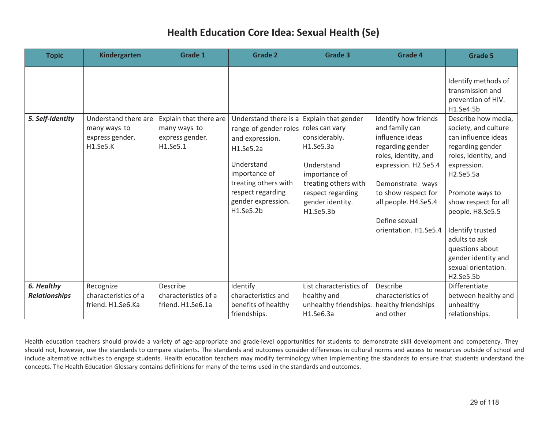| <b>Topic</b>                       | <b>Kindergarten</b>                                                 | <b>Grade 1</b>                                                        | <b>Grade 2</b>                                                                                                                                                                                                    | <b>Grade 3</b>                                                                                                                                            | <b>Grade 4</b>                                                                                                                                                                                                                             | <b>Grade 5</b>                                                                                                                                                                                                                                                                                                               |
|------------------------------------|---------------------------------------------------------------------|-----------------------------------------------------------------------|-------------------------------------------------------------------------------------------------------------------------------------------------------------------------------------------------------------------|-----------------------------------------------------------------------------------------------------------------------------------------------------------|--------------------------------------------------------------------------------------------------------------------------------------------------------------------------------------------------------------------------------------------|------------------------------------------------------------------------------------------------------------------------------------------------------------------------------------------------------------------------------------------------------------------------------------------------------------------------------|
|                                    |                                                                     |                                                                       |                                                                                                                                                                                                                   |                                                                                                                                                           |                                                                                                                                                                                                                                            | Identify methods of<br>transmission and<br>prevention of HIV.<br>H1.Se4.5b                                                                                                                                                                                                                                                   |
| 5. Self-Identity                   | Understand there are<br>many ways to<br>express gender.<br>H1.Se5.K | Explain that there are<br>many ways to<br>express gender.<br>H1.Se5.1 | Understand there is a Explain that gender<br>range of gender roles<br>and expression.<br>H1.Se5.2a<br>Understand<br>importance of<br>treating others with<br>respect regarding<br>gender expression.<br>H1.Se5.2b | roles can vary<br>considerably.<br>H1.Se5.3a<br>Understand<br>importance of<br>treating others with<br>respect regarding<br>gender identity.<br>H1.Se5.3b | Identify how friends<br>and family can<br>influence ideas<br>regarding gender<br>roles, identity, and<br>expression. H2.Se5.4<br>Demonstrate ways<br>to show respect for<br>all people. H4.Se5.4<br>Define sexual<br>orientation. H1.Se5.4 | Describe how media,<br>society, and culture<br>can influence ideas<br>regarding gender<br>roles, identity, and<br>expression.<br>H2.Se5.5a<br>Promote ways to<br>show respect for all<br>people. H8.Se5.5<br>Identify trusted<br>adults to ask<br>questions about<br>gender identity and<br>sexual orientation.<br>H2.Se5.5b |
| 6. Healthy<br><b>Relationships</b> | Recognize<br>characteristics of a<br>friend. H1.Se6.Ka              | Describe<br>characteristics of a<br>friend. H1.Se6.1a                 | Identify<br>characteristics and<br>benefits of healthy<br>friendships.                                                                                                                                            | List characteristics of<br>healthy and<br>unhealthy friendships. healthy friendships<br>H1.Se6.3a                                                         | Describe<br>characteristics of<br>and other                                                                                                                                                                                                | Differentiate<br>between healthy and<br>unhealthy<br>relationships.                                                                                                                                                                                                                                                          |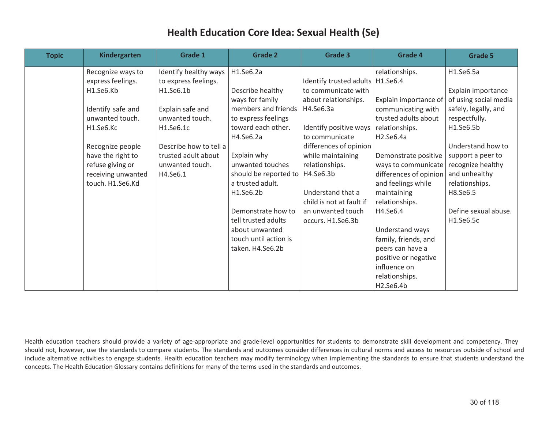| <b>Topic</b> | Kindergarten                                                                    | <b>Grade 1</b>                                     | <b>Grade 2</b>                                                                                                              | <b>Grade 3</b>                                                                                            | <b>Grade 4</b>                                                                                                                           | <b>Grade 5</b>                                                                                                |
|--------------|---------------------------------------------------------------------------------|----------------------------------------------------|-----------------------------------------------------------------------------------------------------------------------------|-----------------------------------------------------------------------------------------------------------|------------------------------------------------------------------------------------------------------------------------------------------|---------------------------------------------------------------------------------------------------------------|
|              | Recognize ways to<br>express feelings.                                          | Identify healthy ways<br>to express feelings.      | H1.Se6.2a                                                                                                                   | Identify trusted adults   H1.Se6.4                                                                        | relationships.                                                                                                                           | H1.Se6.5a                                                                                                     |
|              | H1.Se6.Kb                                                                       | H1.Se6.1b                                          | Describe healthy<br>ways for family                                                                                         | to communicate with<br>about relationships.                                                               | Explain importance of                                                                                                                    | Explain importance<br>of using social media                                                                   |
|              | Identify safe and<br>unwanted touch.<br>H <sub>1.Se6</sub> .Kc                  | Explain safe and<br>unwanted touch.<br>H1.Se6.1c   | members and friends<br>to express feelings<br>toward each other.                                                            | H4.Se6.3a<br>Identify positive ways                                                                       | communicating with<br>trusted adults about<br>relationships.                                                                             | safely, legally, and<br>respectfully.<br>H1.Se6.5b                                                            |
|              | Recognize people                                                                | Describe how to tell a                             | H4.Se6.2a                                                                                                                   | to communicate<br>differences of opinion                                                                  | H <sub>2</sub> .Se <sub>6.4a</sub>                                                                                                       | Understand how to                                                                                             |
|              | have the right to<br>refuse giving or<br>receiving unwanted<br>touch. H1.Se6.Kd | trusted adult about<br>unwanted touch.<br>H4.Se6.1 | Explain why<br>unwanted touches<br>should be reported to   H4.Se6.3b<br>a trusted adult.<br>H1.Se6.2b<br>Demonstrate how to | while maintaining<br>relationships.<br>Understand that a<br>child is not at fault if<br>an unwanted touch | Demonstrate positive<br>ways to communicate<br>differences of opinion<br>and feelings while<br>maintaining<br>relationships.<br>H4.Se6.4 | support a peer to<br>recognize healthy<br>and unhealthy<br>relationships.<br>H8.Se6.5<br>Define sexual abuse. |
|              |                                                                                 |                                                    | tell trusted adults<br>about unwanted<br>touch until action is<br>taken. H4.Se6.2b                                          | occurs. H1.Se6.3b                                                                                         | Understand ways<br>family, friends, and<br>peers can have a<br>positive or negative<br>influence on<br>relationships.<br>H2.Se6.4b       | H1.Se6.5c                                                                                                     |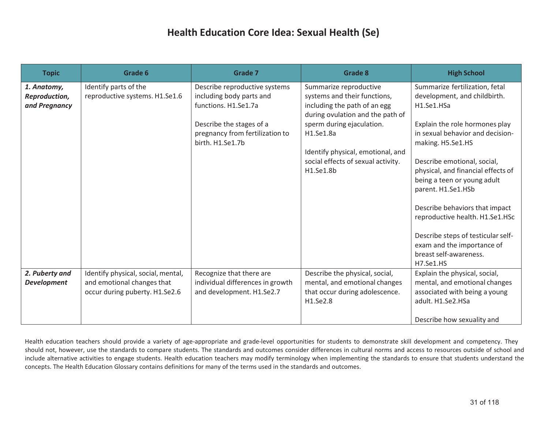| <b>Topic</b>                                  | Grade 6                                                                                            | <b>Grade 7</b>                                                                                                                                                       | <b>Grade 8</b>                                                                                                                                                                                                                                               | <b>High School</b>                                                                                                                                                                                                                                                                                                                                                                                                                                                   |
|-----------------------------------------------|----------------------------------------------------------------------------------------------------|----------------------------------------------------------------------------------------------------------------------------------------------------------------------|--------------------------------------------------------------------------------------------------------------------------------------------------------------------------------------------------------------------------------------------------------------|----------------------------------------------------------------------------------------------------------------------------------------------------------------------------------------------------------------------------------------------------------------------------------------------------------------------------------------------------------------------------------------------------------------------------------------------------------------------|
| 1. Anatomy,<br>Reproduction,<br>and Pregnancy | Identify parts of the<br>reproductive systems. H1.Se1.6                                            | Describe reproductive systems<br>including body parts and<br>functions. H1.Se1.7a<br>Describe the stages of a<br>pregnancy from fertilization to<br>birth. H1.Se1.7b | Summarize reproductive<br>systems and their functions,<br>including the path of an egg<br>during ovulation and the path of<br>sperm during ejaculation.<br>H1.Se1.8a<br>Identify physical, emotional, and<br>social effects of sexual activity.<br>H1.Se1.8b | Summarize fertilization, fetal<br>development, and childbirth.<br>H1.Se1.HSa<br>Explain the role hormones play<br>in sexual behavior and decision-<br>making. H5.Se1.HS<br>Describe emotional, social,<br>physical, and financial effects of<br>being a teen or young adult<br>parent. H1.Se1.HSb<br>Describe behaviors that impact<br>reproductive health. H1.Se1.HSc<br>Describe steps of testicular self-<br>exam and the importance of<br>breast self-awareness. |
| 2. Puberty and<br><b>Development</b>          | Identify physical, social, mental,<br>and emotional changes that<br>occur during puberty. H1.Se2.6 | Recognize that there are<br>individual differences in growth<br>and development. H1.Se2.7                                                                            | Describe the physical, social,<br>mental, and emotional changes<br>that occur during adolescence.<br>H1.Se2.8                                                                                                                                                | H7.Se1.HS<br>Explain the physical, social,<br>mental, and emotional changes<br>associated with being a young<br>adult. H1.Se2.HSa<br>Describe how sexuality and                                                                                                                                                                                                                                                                                                      |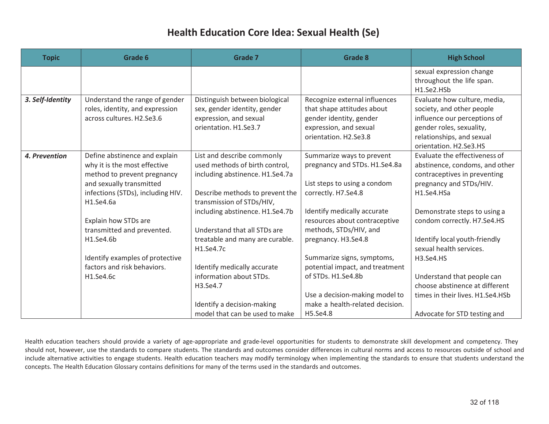| <b>Topic</b>     | Grade 6                           | <b>Grade 7</b>                  | <b>Grade 8</b>                  | <b>High School</b>                      |
|------------------|-----------------------------------|---------------------------------|---------------------------------|-----------------------------------------|
|                  |                                   |                                 |                                 | sexual expression change                |
|                  |                                   |                                 |                                 | throughout the life span.<br>H1.Se2.HSb |
| 3. Self-Identity | Understand the range of gender    | Distinguish between biological  | Recognize external influences   | Evaluate how culture, media,            |
|                  | roles, identity, and expression   | sex, gender identity, gender    | that shape attitudes about      | society, and other people               |
|                  | across cultures. H2.Se3.6         | expression, and sexual          | gender identity, gender         | influence our perceptions of            |
|                  |                                   | orientation. H1.Se3.7           | expression, and sexual          | gender roles, sexuality,                |
|                  |                                   |                                 | orientation. H2.Se3.8           | relationships, and sexual               |
|                  |                                   |                                 |                                 | orientation. H2.Se3.HS                  |
| 4. Prevention    | Define abstinence and explain     | List and describe commonly      | Summarize ways to prevent       | Evaluate the effectiveness of           |
|                  | why it is the most effective      | used methods of birth control,  | pregnancy and STDs. H1.Se4.8a   | abstinence, condoms, and other          |
|                  | method to prevent pregnancy       | including abstinence. H1.Se4.7a |                                 | contraceptives in preventing            |
|                  | and sexually transmitted          |                                 | List steps to using a condom    | pregnancy and STDs/HIV.                 |
|                  | infections (STDs), including HIV. | Describe methods to prevent the | correctly. H7.Se4.8             | H1.Se4.HSa                              |
|                  | H1.Se4.6a                         | transmission of STDs/HIV,       |                                 |                                         |
|                  |                                   | including abstinence. H1.Se4.7b | Identify medically accurate     | Demonstrate steps to using a            |
|                  | Explain how STDs are              |                                 | resources about contraceptive   | condom correctly. H7.Se4.HS             |
|                  | transmitted and prevented.        | Understand that all STDs are    | methods, STDs/HIV, and          |                                         |
|                  | H1.Se4.6b                         | treatable and many are curable. | pregnancy. H3.Se4.8             | Identify local youth-friendly           |
|                  |                                   | H1.Se4.7c                       |                                 | sexual health services.                 |
|                  | Identify examples of protective   |                                 | Summarize signs, symptoms,      | H3.Se4.HS                               |
|                  | factors and risk behaviors.       | Identify medically accurate     | potential impact, and treatment |                                         |
|                  | H1.Se4.6c                         | information about STDs.         | of STDs. H1.Se4.8b              | Understand that people can              |
|                  |                                   | H3.Se4.7                        |                                 | choose abstinence at different          |
|                  |                                   |                                 | Use a decision-making model to  | times in their lives. H1.Se4.HSb        |
|                  |                                   | Identify a decision-making      | make a health-related decision. |                                         |
|                  |                                   | model that can be used to make  | H5.Se4.8                        | Advocate for STD testing and            |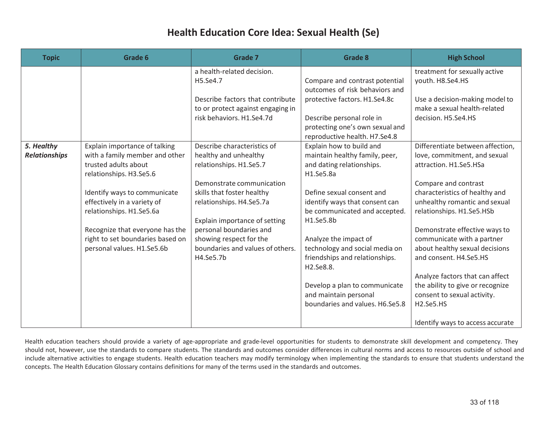| <b>Topic</b>                       | Grade 6                                                                                                                                                                                                                                                                                                            | Grade 7                                                                                                                                                                                                                                                                                                        | <b>Grade 8</b>                                                                                                                                                                                                                                                                                                                                                                                                           | <b>High School</b>                                                                                                                                                                                                                                                                                                                                                                                                                                                                                                                         |
|------------------------------------|--------------------------------------------------------------------------------------------------------------------------------------------------------------------------------------------------------------------------------------------------------------------------------------------------------------------|----------------------------------------------------------------------------------------------------------------------------------------------------------------------------------------------------------------------------------------------------------------------------------------------------------------|--------------------------------------------------------------------------------------------------------------------------------------------------------------------------------------------------------------------------------------------------------------------------------------------------------------------------------------------------------------------------------------------------------------------------|--------------------------------------------------------------------------------------------------------------------------------------------------------------------------------------------------------------------------------------------------------------------------------------------------------------------------------------------------------------------------------------------------------------------------------------------------------------------------------------------------------------------------------------------|
|                                    |                                                                                                                                                                                                                                                                                                                    | a health-related decision.<br>H5.Se4.7<br>Describe factors that contribute<br>to or protect against engaging in<br>risk behaviors. H1.Se4.7d                                                                                                                                                                   | Compare and contrast potential<br>outcomes of risk behaviors and<br>protective factors. H1.Se4.8c<br>Describe personal role in<br>protecting one's own sexual and<br>reproductive health. H7.Se4.8                                                                                                                                                                                                                       | treatment for sexually active<br>youth. H8.Se4.HS<br>Use a decision-making model to<br>make a sexual health-related<br>decision. H5.Se4.HS                                                                                                                                                                                                                                                                                                                                                                                                 |
| 5. Healthy<br><b>Relationships</b> | Explain importance of talking<br>with a family member and other<br>trusted adults about<br>relationships. H3.Se5.6<br>Identify ways to communicate<br>effectively in a variety of<br>relationships. H1.Se5.6a<br>Recognize that everyone has the<br>right to set boundaries based on<br>personal values. H1.Se5.6b | Describe characteristics of<br>healthy and unhealthy<br>relationships. H1.Se5.7<br>Demonstrate communication<br>skills that foster healthy<br>relationships. H4.Se5.7a<br>Explain importance of setting<br>personal boundaries and<br>showing respect for the<br>boundaries and values of others.<br>H4.Se5.7b | Explain how to build and<br>maintain healthy family, peer,<br>and dating relationships.<br>H1.Se5.8a<br>Define sexual consent and<br>identify ways that consent can<br>be communicated and accepted.<br>H1.Se5.8b<br>Analyze the impact of<br>technology and social media on<br>friendships and relationships.<br>H2.Se8.8.<br>Develop a plan to communicate<br>and maintain personal<br>boundaries and values. H6.Se5.8 | Differentiate between affection,<br>love, commitment, and sexual<br>attraction. H1.Se5.HSa<br>Compare and contrast<br>characteristics of healthy and<br>unhealthy romantic and sexual<br>relationships. H1.Se5.HSb<br>Demonstrate effective ways to<br>communicate with a partner<br>about healthy sexual decisions<br>and consent. H4.Se5.HS<br>Analyze factors that can affect<br>the ability to give or recognize<br>consent to sexual activity.<br>H <sub>2</sub> .Se <sub>5</sub> .H <sub>S</sub><br>Identify ways to access accurate |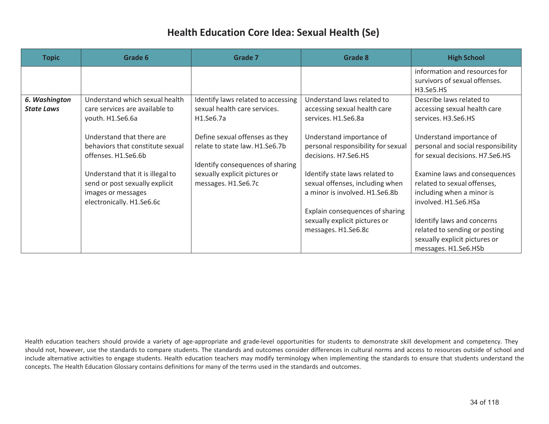| <b>Topic</b>                       | Grade 6                                                                                                               | Grade 7                                                                                              | Grade 8                                                                                             | <b>High School</b>                                                                                                   |
|------------------------------------|-----------------------------------------------------------------------------------------------------------------------|------------------------------------------------------------------------------------------------------|-----------------------------------------------------------------------------------------------------|----------------------------------------------------------------------------------------------------------------------|
|                                    |                                                                                                                       |                                                                                                      |                                                                                                     | information and resources for<br>survivors of sexual offenses.<br>H3.Se5.HS                                          |
| 6. Washington<br><b>State Laws</b> | Understand which sexual health<br>care services are available to<br>youth. H1.Se6.6a                                  | Identify laws related to accessing<br>sexual health care services.<br>H1.Se6.7a                      | Understand laws related to<br>accessing sexual health care<br>services. H1.Se6.8a                   | Describe laws related to<br>accessing sexual health care<br>services. H3.Se6.HS                                      |
|                                    | Understand that there are<br>behaviors that constitute sexual<br>offenses. H1.Se6.6b                                  | Define sexual offenses as they<br>relate to state law. H1.Se6.7b<br>Identify consequences of sharing | Understand importance of<br>personal responsibility for sexual<br>decisions. H7.Se6.HS              | Understand importance of<br>personal and social responsibility<br>for sexual decisions. H7.Se6.HS                    |
|                                    | Understand that it is illegal to<br>send or post sexually explicit<br>images or messages<br>electronically. H1.Se6.6c | sexually explicit pictures or<br>messages. H1.Se6.7c                                                 | Identify state laws related to<br>sexual offenses, including when<br>a minor is involved. H1.Se6.8b | Examine laws and consequences<br>related to sexual offenses,<br>including when a minor is<br>involved. H1.Se6.HSa    |
|                                    |                                                                                                                       |                                                                                                      | Explain consequences of sharing<br>sexually explicit pictures or<br>messages. H1.Se6.8c             | Identify laws and concerns<br>related to sending or posting<br>sexually explicit pictures or<br>messages. H1.Se6.HSb |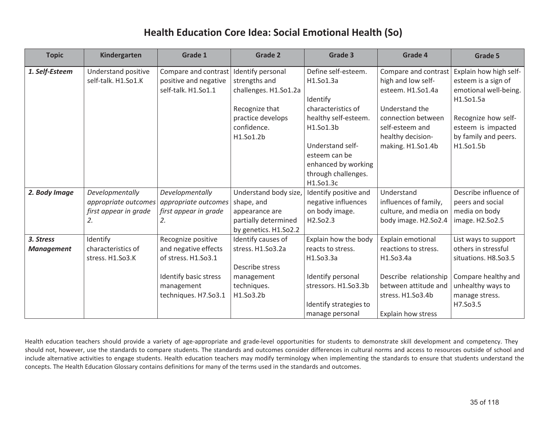| <b>Topic</b>      | Kindergarten          | Grade 1               | <b>Grade 2</b>        | Grade 3                | Grade 4                   | Grade 5                |
|-------------------|-----------------------|-----------------------|-----------------------|------------------------|---------------------------|------------------------|
| 1. Self-Esteem    | Understand positive   | Compare and contrast  | Identify personal     | Define self-esteem.    | Compare and contrast      | Explain how high self- |
|                   | self-talk. H1.So1.K   | positive and negative | strengths and         | H1.So1.3a              | high and low self-        | esteem is a sign of    |
|                   |                       | self-talk. H1.So1.1   | challenges. H1.So1.2a |                        | esteem. H1.So1.4a         | emotional well-being.  |
|                   |                       |                       |                       | Identify               |                           | H1.So1.5a              |
|                   |                       |                       | Recognize that        | characteristics of     | Understand the            |                        |
|                   |                       |                       | practice develops     | healthy self-esteem.   | connection between        | Recognize how self-    |
|                   |                       |                       | confidence.           | H1.So1.3b              | self-esteem and           | esteem is impacted     |
|                   |                       |                       | H1.So1.2b             |                        | healthy decision-         | by family and peers.   |
|                   |                       |                       |                       | Understand self-       | making. H1.So1.4b         | H1.So1.5b              |
|                   |                       |                       |                       | esteem can be          |                           |                        |
|                   |                       |                       |                       | enhanced by working    |                           |                        |
|                   |                       |                       |                       | through challenges.    |                           |                        |
|                   |                       |                       |                       | H1.So1.3c              |                           |                        |
| 2. Body Image     | Developmentally       | Developmentally       | Understand body size, | Identify positive and  | Understand                | Describe influence of  |
|                   | appropriate outcomes  | appropriate outcomes  | shape, and            | negative influences    | influences of family,     | peers and social       |
|                   | first appear in grade | first appear in grade | appearance are        | on body image.         | culture, and media on     | media on body          |
|                   | 2.                    | 2.                    | partially determined  | H2.So2.3               | body image. H2.So2.4      | image. H2.So2.5        |
|                   |                       |                       | by genetics. H1.So2.2 |                        |                           |                        |
| 3. Stress         | Identify              | Recognize positive    | Identify causes of    | Explain how the body   | Explain emotional         | List ways to support   |
| <b>Management</b> | characteristics of    | and negative effects  | stress. H1.So3.2a     | reacts to stress.      | reactions to stress.      | others in stressful    |
|                   | stress. H1.So3.K      | of stress. H1.So3.1   |                       | H1.So3.3a              | H1.So3.4a                 | situations. H8.So3.5   |
|                   |                       |                       | Describe stress       |                        |                           |                        |
|                   |                       | Identify basic stress | management            | Identify personal      | Describe relationship     | Compare healthy and    |
|                   |                       | management            | techniques.           | stressors. H1.So3.3b   | between attitude and      | unhealthy ways to      |
|                   |                       | techniques. H7.So3.1  | H1.So3.2b             |                        | stress. H1.So3.4b         | manage stress.         |
|                   |                       |                       |                       | Identify strategies to |                           | H7.So3.5               |
|                   |                       |                       |                       | manage personal        | <b>Explain how stress</b> |                        |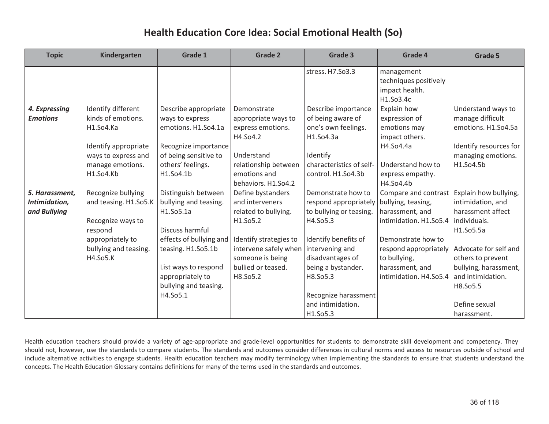| <b>Topic</b>    | Kindergarten          | Grade 1                 | <b>Grade 2</b>         | Grade 3                  | Grade 4                                                            | Grade 5                |
|-----------------|-----------------------|-------------------------|------------------------|--------------------------|--------------------------------------------------------------------|------------------------|
|                 |                       |                         |                        | stress. H7.So3.3         | management<br>techniques positively<br>impact health.<br>H1.So3.4c |                        |
| 4. Expressing   | Identify different    | Describe appropriate    | Demonstrate            | Describe importance      | Explain how                                                        | Understand ways to     |
| <b>Emotions</b> | kinds of emotions.    | ways to express         | appropriate ways to    | of being aware of        | expression of                                                      | manage difficult       |
|                 | H1.So4.Ka             | emotions. H1.So4.1a     | express emotions.      | one's own feelings.      | emotions may                                                       | emotions. H1.So4.5a    |
|                 |                       |                         | H4.So4.2               | H1.So4.3a                | impact others.                                                     |                        |
|                 | Identify appropriate  | Recognize importance    |                        |                          | H4.So4.4a                                                          | Identify resources for |
|                 | ways to express and   | of being sensitive to   | Understand             | Identify                 |                                                                    | managing emotions.     |
|                 | manage emotions.      | others' feelings.       | relationship between   | characteristics of self- | Understand how to                                                  | H1.So4.5b              |
|                 | H1.So4.Kb             | H1.So4.1b               | emotions and           | control. H1.So4.3b       | express empathy.                                                   |                        |
|                 |                       |                         | behaviors. H1.So4.2    |                          | H4.So4.4b                                                          |                        |
| 5. Harassment,  | Recognize bullying    | Distinguish between     | Define bystanders      | Demonstrate how to       | Compare and contrast                                               | Explain how bullying,  |
| Intimidation,   | and teasing. H1.So5.K | bullying and teasing.   | and interveners        | respond appropriately    | bullying, teasing,                                                 | intimidation, and      |
| and Bullying    |                       | H1.So5.1a               | related to bullying.   | to bullying or teasing.  | harassment, and                                                    | harassment affect      |
|                 | Recognize ways to     |                         | H1.So5.2               | H4.So5.3                 | intimidation. H1.So5.4                                             | individuals.           |
|                 | respond               | Discuss harmful         |                        |                          |                                                                    | H1.So5.5a              |
|                 | appropriately to      | effects of bullying and | Identify strategies to | Identify benefits of     | Demonstrate how to                                                 |                        |
|                 | bullying and teasing. | teasing. H1.So5.1b      | intervene safely when  | intervening and          | respond appropriately                                              | Advocate for self and  |
|                 | H4.So5.K              |                         | someone is being       | disadvantages of         | to bullying,                                                       | others to prevent      |
|                 |                       | List ways to respond    | bullied or teased.     | being a bystander.       | harassment, and                                                    | bullying, harassment,  |
|                 |                       | appropriately to        | H8.So5.2               | H8.So5.3                 | intimidation. H4.So5.4                                             | and intimidation.      |
|                 |                       | bullying and teasing.   |                        |                          |                                                                    | H8.So5.5               |
|                 |                       | H4.So5.1                |                        | Recognize harassment     |                                                                    |                        |
|                 |                       |                         |                        | and intimidation.        |                                                                    | Define sexual          |
|                 |                       |                         |                        | H1.So5.3                 |                                                                    | harassment.            |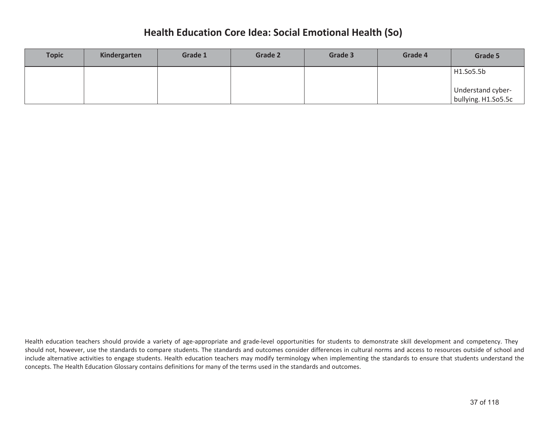| <b>Topic</b> | Kindergarten | Grade 1 | <b>Grade 2</b> | Grade 3 | Grade 4 | Grade 5                                  |
|--------------|--------------|---------|----------------|---------|---------|------------------------------------------|
|              |              |         |                |         |         | H1.So5.5b                                |
|              |              |         |                |         |         | Understand cyber-<br>bullying. H1.So5.5c |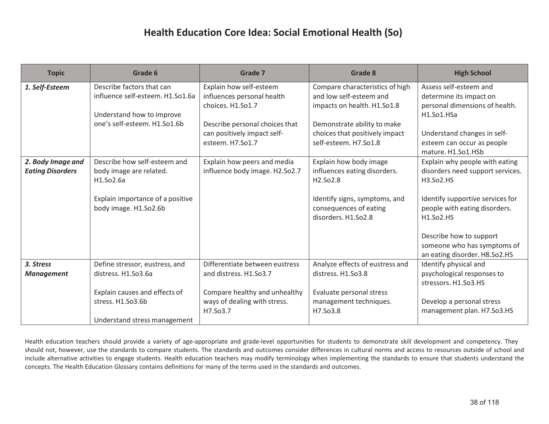| <b>Topic</b>                                 | Grade 6                                                                                                                                     | <b>Grade 7</b>                                                                                                                                                  | Grade 8                                                                                                                                                                             | <b>High School</b>                                                                                                                                                                                                                                           |
|----------------------------------------------|---------------------------------------------------------------------------------------------------------------------------------------------|-----------------------------------------------------------------------------------------------------------------------------------------------------------------|-------------------------------------------------------------------------------------------------------------------------------------------------------------------------------------|--------------------------------------------------------------------------------------------------------------------------------------------------------------------------------------------------------------------------------------------------------------|
| 1. Self-Esteem                               | Describe factors that can<br>influence self-esteem. H1.So1.6a<br>Understand how to improve<br>one's self-esteem. H1.So1.6b                  | Explain how self-esteem<br>influences personal health<br>choices. H1.So1.7<br>Describe personal choices that<br>can positively impact self-<br>esteem. H7.So1.7 | Compare characteristics of high<br>and low self-esteem and<br>impacts on health. H1.So1.8<br>Demonstrate ability to make<br>choices that positively impact<br>self-esteem. H7.So1.8 | Assess self-esteem and<br>determine its impact on<br>personal dimensions of health.<br>H1.So1.HSa<br>Understand changes in self-<br>esteem can occur as people<br>mature. H1.So1.HSb                                                                         |
| 2. Body Image and<br><b>Eating Disorders</b> | Describe how self-esteem and<br>body image are related.<br>H1.So2.6a<br>Explain importance of a positive<br>body image. H1.So2.6b           | Explain how peers and media<br>influence body image. H2.So2.7                                                                                                   | Explain how body image<br>influences eating disorders.<br>H2.So2.8<br>Identify signs, symptoms, and<br>consequences of eating<br>disorders. H1.So2.8                                | Explain why people with eating<br>disorders need support services.<br>H3.So2.HS<br>Identify supportive services for<br>people with eating disorders.<br>H1.So2.HS<br>Describe how to support<br>someone who has symptoms of<br>an eating disorder. H8.So2.HS |
| 3. Stress<br><b>Management</b>               | Define stressor, eustress, and<br>distress. H1.So3.6a<br>Explain causes and effects of<br>stress. H1.So3.6b<br>Understand stress management | Differentiate between eustress<br>and distress. H1.So3.7<br>Compare healthy and unhealthy<br>ways of dealing with stress.<br>H7.So3.7                           | Analyze effects of eustress and<br>distress. H1.So3.8<br>Evaluate personal stress<br>management techniques.<br>H7.So3.8                                                             | Identify physical and<br>psychological responses to<br>stressors. H1.So3.HS<br>Develop a personal stress<br>management plan. H7.So3.HS                                                                                                                       |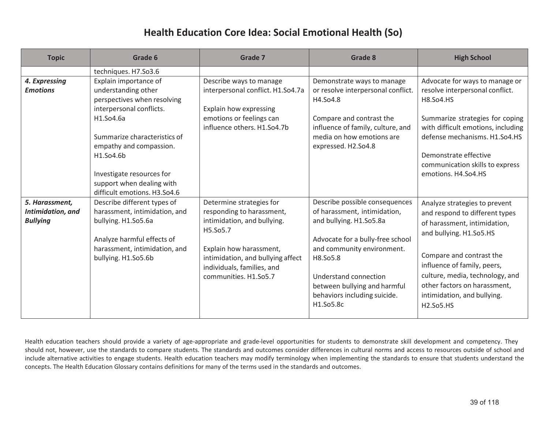| <b>Topic</b>                                           | Grade 6                                                                                                                                                                   | Grade 7                                                                                                                                                                                        | Grade 8                                                                                                                                                                 | <b>High School</b>                                                                                                                                                                    |
|--------------------------------------------------------|---------------------------------------------------------------------------------------------------------------------------------------------------------------------------|------------------------------------------------------------------------------------------------------------------------------------------------------------------------------------------------|-------------------------------------------------------------------------------------------------------------------------------------------------------------------------|---------------------------------------------------------------------------------------------------------------------------------------------------------------------------------------|
| 4. Expressing<br><b>Emotions</b>                       | techniques. H7.So3.6<br>Explain importance of<br>understanding other                                                                                                      | Describe ways to manage<br>interpersonal conflict. H1.So4.7a                                                                                                                                   | Demonstrate ways to manage<br>or resolve interpersonal conflict.                                                                                                        | Advocate for ways to manage or<br>resolve interpersonal conflict.                                                                                                                     |
|                                                        | perspectives when resolving<br>interpersonal conflicts.<br>H1.So4.6a                                                                                                      | Explain how expressing<br>emotions or feelings can<br>influence others. H1.So4.7b                                                                                                              | H4.So4.8<br>Compare and contrast the<br>influence of family, culture, and                                                                                               | <b>H8.So4.HS</b><br>Summarize strategies for coping<br>with difficult emotions, including                                                                                             |
|                                                        | Summarize characteristics of<br>empathy and compassion.<br>H1.So4.6b                                                                                                      |                                                                                                                                                                                                | media on how emotions are<br>expressed. H2.So4.8                                                                                                                        | defense mechanisms. H1.So4.HS<br>Demonstrate effective                                                                                                                                |
|                                                        | Investigate resources for<br>support when dealing with<br>difficult emotions. H3.So4.6                                                                                    |                                                                                                                                                                                                |                                                                                                                                                                         | communication skills to express<br>emotions. H4.So4.HS                                                                                                                                |
| 5. Harassment,<br>Intimidation, and<br><b>Bullying</b> | Describe different types of<br>harassment, intimidation, and<br>bullying. H1.So5.6a<br>Analyze harmful effects of<br>harassment, intimidation, and<br>bullying. H1.So5.6b | Determine strategies for<br>responding to harassment,<br>intimidation, and bullying.<br>H5.So5.7<br>Explain how harassment,<br>intimidation, and bullying affect<br>individuals, families, and | Describe possible consequences<br>of harassment, intimidation,<br>and bullying. H1.So5.8a<br>Advocate for a bully-free school<br>and community environment.<br>H8.So5.8 | Analyze strategies to prevent<br>and respond to different types<br>of harassment, intimidation,<br>and bullying. H1.So5.HS<br>Compare and contrast the<br>influence of family, peers, |
|                                                        |                                                                                                                                                                           | communities. H1.So5.7                                                                                                                                                                          | Understand connection<br>between bullying and harmful<br>behaviors including suicide.<br>H1.So5.8c                                                                      | culture, media, technology, and<br>other factors on harassment,<br>intimidation, and bullying.<br>H2.So5.HS                                                                           |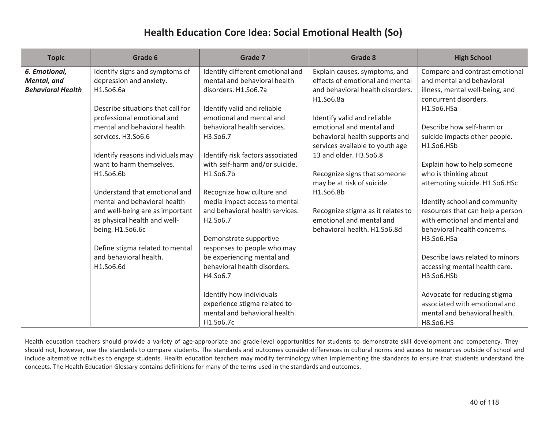| <b>Topic</b>             | Grade 6                           | <b>Grade 7</b>                   | Grade 8                           | <b>High School</b>               |
|--------------------------|-----------------------------------|----------------------------------|-----------------------------------|----------------------------------|
| 6. Emotional,            | Identify signs and symptoms of    | Identify different emotional and | Explain causes, symptoms, and     | Compare and contrast emotional   |
| Mental, and              | depression and anxiety.           | mental and behavioral health     | effects of emotional and mental   | and mental and behavioral        |
| <b>Behavioral Health</b> | H1.So6.6a                         | disorders. H1.So6.7a             | and behavioral health disorders.  | illness, mental well-being, and  |
|                          |                                   |                                  | H1.So6.8a                         | concurrent disorders.            |
|                          | Describe situations that call for | Identify valid and reliable      |                                   | H1.So6.HSa                       |
|                          | professional emotional and        | emotional and mental and         | Identify valid and reliable       |                                  |
|                          | mental and behavioral health      | behavioral health services.      | emotional and mental and          | Describe how self-harm or        |
|                          | services. H3.So6.6                | H3.So6.7                         | behavioral health supports and    | suicide impacts other people.    |
|                          |                                   |                                  | services available to youth age   | H1.So6.HSb                       |
|                          | Identify reasons individuals may  | Identify risk factors associated | 13 and older. H3.So6.8            |                                  |
|                          | want to harm themselves.          | with self-harm and/or suicide.   |                                   | Explain how to help someone      |
|                          | H1.So6.6b                         | H1.So6.7b                        | Recognize signs that someone      | who is thinking about            |
|                          |                                   |                                  | may be at risk of suicide.        | attempting suicide. H1.So6.HSc   |
|                          | Understand that emotional and     | Recognize how culture and        | H1.So6.8b                         |                                  |
|                          | mental and behavioral health      | media impact access to mental    |                                   | Identify school and community    |
|                          | and well-being are as important   | and behavioral health services.  | Recognize stigma as it relates to | resources that can help a person |
|                          | as physical health and well-      | H2.So6.7                         | emotional and mental and          | with emotional and mental and    |
|                          | being. H1.So6.6c                  |                                  | behavioral health. H1.So6.8d      | behavioral health concerns.      |
|                          |                                   | Demonstrate supportive           |                                   | H3.So6.HSa                       |
|                          | Define stigma related to mental   | responses to people who may      |                                   |                                  |
|                          | and behavioral health.            | be experiencing mental and       |                                   | Describe laws related to minors  |
|                          | H1.So6.6d                         | behavioral health disorders.     |                                   | accessing mental health care.    |
|                          |                                   | H4.So6.7                         |                                   | H3.So6.HSb                       |
|                          |                                   |                                  |                                   |                                  |
|                          |                                   | Identify how individuals         |                                   | Advocate for reducing stigma     |
|                          |                                   | experience stigma related to     |                                   | associated with emotional and    |
|                          |                                   | mental and behavioral health.    |                                   | mental and behavioral health.    |
|                          |                                   | H1.So6.7c                        |                                   | H8.So6.HS                        |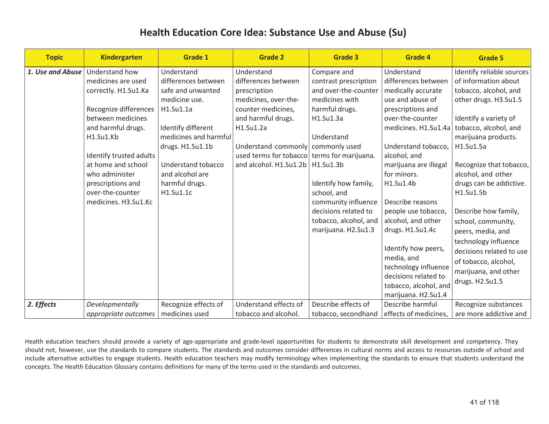| <b>Topic</b>     | <b>Kindergarten</b>                                                                                                                                                                                                                                                               | <b>Grade 1</b>                                                                                                                                                                                                                  | <b>Grade 2</b>                                                                                                                                                                                                                                               | <b>Grade 3</b>                                                                                                                                                                                                                                                    | Grade 4                                                                                                                                                                                                                                                                                                                                                                                                                                                            | <b>Grade 5</b>                                                                                                                                                                                                                                                                                                                                                                                                                                                               |
|------------------|-----------------------------------------------------------------------------------------------------------------------------------------------------------------------------------------------------------------------------------------------------------------------------------|---------------------------------------------------------------------------------------------------------------------------------------------------------------------------------------------------------------------------------|--------------------------------------------------------------------------------------------------------------------------------------------------------------------------------------------------------------------------------------------------------------|-------------------------------------------------------------------------------------------------------------------------------------------------------------------------------------------------------------------------------------------------------------------|--------------------------------------------------------------------------------------------------------------------------------------------------------------------------------------------------------------------------------------------------------------------------------------------------------------------------------------------------------------------------------------------------------------------------------------------------------------------|------------------------------------------------------------------------------------------------------------------------------------------------------------------------------------------------------------------------------------------------------------------------------------------------------------------------------------------------------------------------------------------------------------------------------------------------------------------------------|
| 1. Use and Abuse | Understand how<br>medicines are used<br>correctly. H1.Su1.Ka<br>Recognize differences<br>between medicines<br>and harmful drugs.<br>H1.Su1.Kb<br>Identify trusted adults<br>at home and school<br>who administer<br>prescriptions and<br>over-the-counter<br>medicines. H3.Su1.Kc | Understand<br>differences between<br>safe and unwanted<br>medicine use.<br>H1.Su1.1a<br>Identify different<br>medicines and harmful<br>drugs. H1.Su1.1b<br>Understand tobacco<br>and alcohol are<br>harmful drugs.<br>H1.Su1.1c | Understand<br>differences between<br>prescription<br>medicines, over-the-<br>counter medicines,<br>and harmful drugs.<br>H1.Su1.2a<br>Understand commonly commonly used<br>used terms for tobacco terms for marijuana.<br>and alcohol. H1.Su1.2b   H1.Su1.3b | Compare and<br>contrast prescription<br>and over-the-counter<br>medicines with<br>harmful drugs.<br>H1.Su1.3a<br>Understand<br>Identify how family,<br>school, and<br>community influence<br>decisions related to<br>tobacco, alcohol, and<br>marijuana. H2.Su1.3 | Understand<br>differences between<br>medically accurate<br>use and abuse of<br>prescriptions and<br>over-the-counter<br>medicines. H1.Su1.4a<br>Understand tobacco,<br>alcohol, and<br>marijuana are illegal<br>for minors.<br>H1.Su1.4b<br>Describe reasons<br>people use tobacco,<br>alcohol, and other<br>drugs. H1.Su1.4c<br>Identify how peers,<br>media, and<br>technology influence<br>decisions related to<br>tobacco, alcohol, and<br>marijuana. H2.Su1.4 | Identify reliable sources<br>of information about<br>tobacco, alcohol, and<br>other drugs. H3.Su1.5<br>Identify a variety of<br>tobacco, alcohol, and<br>marijuana products.<br>H1.Su1.5a<br>Recognize that tobacco,<br>alcohol, and other<br>drugs can be addictive.<br>H1.Su1.5b<br>Describe how family,<br>school, community,<br>peers, media, and<br>technology influence<br>decisions related to use<br>of tobacco, alcohol,<br>marijuana, and other<br>drugs. H2.Su1.5 |
| 2. Effects       | Developmentally<br>appropriate outcomes                                                                                                                                                                                                                                           | Recognize effects of<br>medicines used                                                                                                                                                                                          | Understand effects of<br>tobacco and alcohol.                                                                                                                                                                                                                | Describe effects of<br>tobacco, secondhand                                                                                                                                                                                                                        | Describe harmful<br>effects of medicines,                                                                                                                                                                                                                                                                                                                                                                                                                          | Recognize substances<br>are more addictive and                                                                                                                                                                                                                                                                                                                                                                                                                               |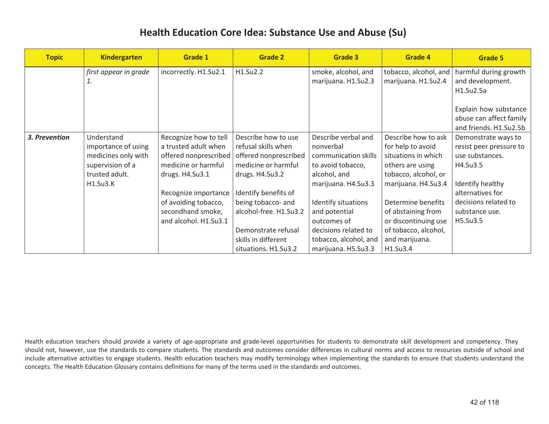| <b>Topic</b>  | <b>Kindergarten</b>                                                                                        | Grade 1                                                                                                          | <b>Grade 2</b>                                                                                                | Grade 3                                                                                                              | Grade 4                                                                                                                            | Grade 5                                                                                                    |
|---------------|------------------------------------------------------------------------------------------------------------|------------------------------------------------------------------------------------------------------------------|---------------------------------------------------------------------------------------------------------------|----------------------------------------------------------------------------------------------------------------------|------------------------------------------------------------------------------------------------------------------------------------|------------------------------------------------------------------------------------------------------------|
|               | first appear in grade<br>1.                                                                                | incorrectly. H1.Su2.1                                                                                            | H1.Su2.2                                                                                                      | smoke, alcohol, and<br>marijuana. H1.Su2.3                                                                           | tobacco, alcohol, and<br>marijuana. H1.Su2.4                                                                                       | harmful during growth<br>and development.<br>H1.Su2.5a<br>Explain how substance<br>abuse can affect family |
|               |                                                                                                            |                                                                                                                  |                                                                                                               |                                                                                                                      |                                                                                                                                    | and friends. H1.Su2.5b                                                                                     |
| 3. Prevention | Understand<br>importance of using<br>medicines only with<br>supervision of a<br>trusted adult.<br>H1.Su3.K | Recognize how to tell<br>a trusted adult when<br>offered nonprescribed<br>medicine or harmful<br>drugs. H4.Su3.1 | Describe how to use<br>refusal skills when<br>offered nonprescribed<br>medicine or harmful<br>drugs. H4.Su3.2 | Describe verbal and<br>nonverbal<br>communication skills<br>to avoid tobacco,<br>alcohol, and<br>marijuana. H4.Su3.3 | Describe how to ask<br>for help to avoid<br>situations in which<br>others are using<br>tobacco, alcohol, or<br>marijuana. H4.Su3.4 | Demonstrate ways to<br>resist peer pressure to<br>use substances.<br>H4.Su3.5<br>Identify healthy          |
|               |                                                                                                            | Recognize importance<br>of avoiding tobacco,<br>secondhand smoke,<br>and alcohol. H1.Su3.1                       | Identify benefits of<br>being tobacco- and<br>alcohol-free. H1.Su3.2<br>Demonstrate refusal                   | Identify situations<br>and potential<br>outcomes of<br>decisions related to                                          | Determine benefits<br>of abstaining from<br>or discontinuing use<br>of tobacco, alcohol,                                           | alternatives for<br>decisions related to<br>substance use.<br>H5.Su3.5                                     |
|               |                                                                                                            |                                                                                                                  | skills in different<br>situations. H1.Su3.2                                                                   | tobacco, alcohol, and<br>marijuana. H5.Su3.3                                                                         | and marijuana.<br>H1.Su3.4                                                                                                         |                                                                                                            |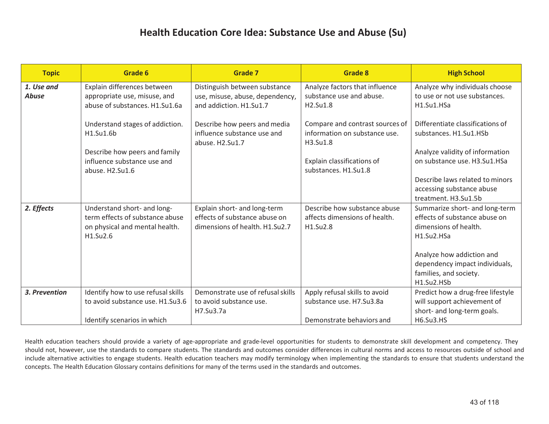| <b>Topic</b>  | Grade 6                            | <b>Grade 7</b>                    | <b>Grade 8</b>                                     | <b>High School</b>                |
|---------------|------------------------------------|-----------------------------------|----------------------------------------------------|-----------------------------------|
| 1. Use and    | Explain differences between        | Distinguish between substance     | Analyze factors that influence                     | Analyze why individuals choose    |
| <b>Abuse</b>  | appropriate use, misuse, and       | use, misuse, abuse, dependency,   | substance use and abuse.                           | to use or not use substances.     |
|               | abuse of substances. H1.Su1.6a     | and addiction. H1.Su1.7           | H2.Su1.8                                           | H1.Su1.HSa                        |
|               |                                    |                                   |                                                    |                                   |
|               | Understand stages of addiction.    | Describe how peers and media      | Compare and contrast sources of                    | Differentiate classifications of  |
|               | H1.Su1.6b                          | influence substance use and       | information on substance use.                      | substances. H1.Su1.HSb            |
|               |                                    | abuse. H2.Su1.7                   | H3.Su1.8                                           |                                   |
|               | Describe how peers and family      |                                   |                                                    | Analyze validity of information   |
|               | influence substance use and        |                                   | Explain classifications of<br>substances. H1.Su1.8 | on substance use. H3.Su1.HSa      |
|               | abuse. H2.Su1.6                    |                                   |                                                    | Describe laws related to minors   |
|               |                                    |                                   |                                                    | accessing substance abuse         |
|               |                                    |                                   |                                                    | treatment. H3.Su1.5b              |
| 2. Effects    | Understand short- and long-        | Explain short- and long-term      | Describe how substance abuse                       | Summarize short- and long-term    |
|               | term effects of substance abuse    | effects of substance abuse on     | affects dimensions of health.                      | effects of substance abuse on     |
|               | on physical and mental health.     | dimensions of health. H1.Su2.7    | H1.Su2.8                                           | dimensions of health.             |
|               | H1.Su2.6                           |                                   |                                                    | H1.Su2.HSa                        |
|               |                                    |                                   |                                                    |                                   |
|               |                                    |                                   |                                                    | Analyze how addiction and         |
|               |                                    |                                   |                                                    | dependency impact individuals,    |
|               |                                    |                                   |                                                    | families, and society.            |
|               |                                    |                                   |                                                    | H1.Su2.HSb                        |
| 3. Prevention | Identify how to use refusal skills | Demonstrate use of refusal skills | Apply refusal skills to avoid                      | Predict how a drug-free lifestyle |
|               | to avoid substance use. H1.Su3.6   | to avoid substance use.           | substance use. H7.Su3.8a                           | will support achievement of       |
|               |                                    | H7.Su3.7a                         |                                                    | short- and long-term goals.       |
|               | Identify scenarios in which        |                                   | Demonstrate behaviors and                          | <b>H6.Su3.HS</b>                  |